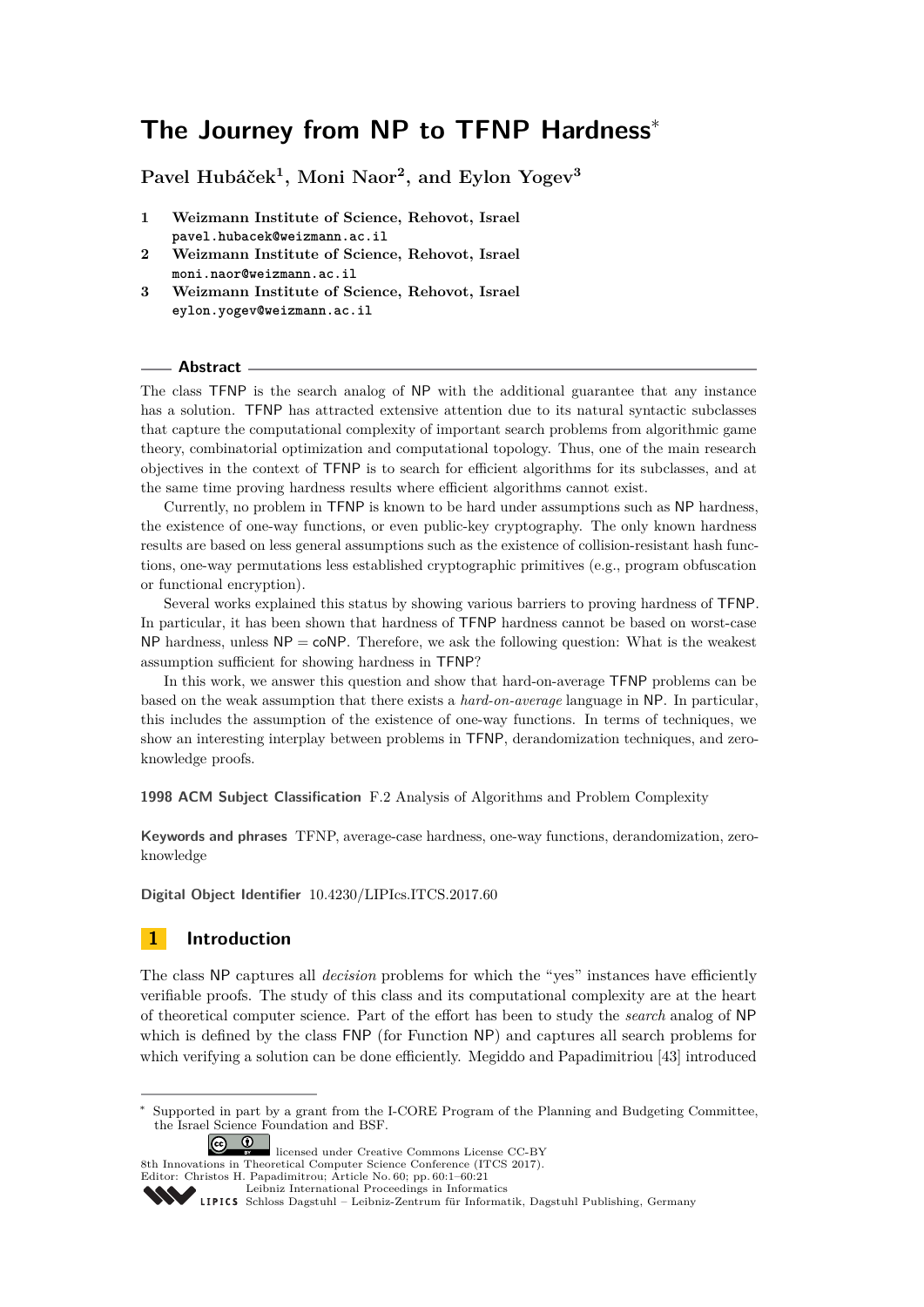# **The Journey from NP to TFNP Hardness**<sup>∗</sup>

**Pavel Hubáček<sup>1</sup> , Moni Naor<sup>2</sup> , and Eylon Yogev<sup>3</sup>**

- **1 Weizmann Institute of Science, Rehovot, Israel pavel.hubacek@weizmann.ac.il**
- **2 Weizmann Institute of Science, Rehovot, Israel moni.naor@weizmann.ac.il**
- **3 Weizmann Institute of Science, Rehovot, Israel eylon.yogev@weizmann.ac.il**

## **Abstract**

The class TFNP is the search analog of NP with the additional guarantee that any instance has a solution. TFNP has attracted extensive attention due to its natural syntactic subclasses that capture the computational complexity of important search problems from algorithmic game theory, combinatorial optimization and computational topology. Thus, one of the main research objectives in the context of TFNP is to search for efficient algorithms for its subclasses, and at the same time proving hardness results where efficient algorithms cannot exist.

Currently, no problem in TFNP is known to be hard under assumptions such as NP hardness, the existence of one-way functions, or even public-key cryptography. The only known hardness results are based on less general assumptions such as the existence of collision-resistant hash functions, one-way permutations less established cryptographic primitives (e.g., program obfuscation or functional encryption).

Several works explained this status by showing various barriers to proving hardness of TFNP. In particular, it has been shown that hardness of TFNP hardness cannot be based on worst-case NP hardness, unless  $NP = \text{coNP}$ . Therefore, we ask the following question: What is the weakest assumption sufficient for showing hardness in TFNP?

In this work, we answer this question and show that hard-on-average TFNP problems can be based on the weak assumption that there exists a *hard-on-average* language in NP. In particular, this includes the assumption of the existence of one-way functions. In terms of techniques, we show an interesting interplay between problems in TFNP, derandomization techniques, and zeroknowledge proofs.

**1998 ACM Subject Classification** F.2 Analysis of Algorithms and Problem Complexity

**Keywords and phrases** TFNP, average-case hardness, one-way functions, derandomization, zeroknowledge

**Digital Object Identifier** [10.4230/LIPIcs.ITCS.2017.60](http://dx.doi.org/10.4230/LIPIcs.ITCS.2017.60)

# <span id="page-0-0"></span>**1 Introduction**

The class NP captures all *decision* problems for which the "yes" instances have efficiently verifiable proofs. The study of this class and its computational complexity are at the heart of theoretical computer science. Part of the effort has been to study the *search* analog of NP which is defined by the class FNP (for Function NP) and captures all search problems for which verifying a solution can be done efficiently. Megiddo and Papadimitriou [\[43\]](#page-17-0) introduced

Supported in part by a grant from the I-CORE Program of the Planning and Budgeting Committee, the Israel Science Foundation and BSF.



licensed under Creative Commons License CC-BY 8th Innovations in Theoretical Computer Science Conference (ITCS 2017).

Editor: Christos H. Papadimitrou; Article No. 60; pp. 60:1–60[:21](#page-20-0)

[Leibniz International Proceedings in Informatics](http://www.dagstuhl.de/lipics/)

[Schloss Dagstuhl – Leibniz-Zentrum für Informatik, Dagstuhl Publishing, Germany](http://www.dagstuhl.de)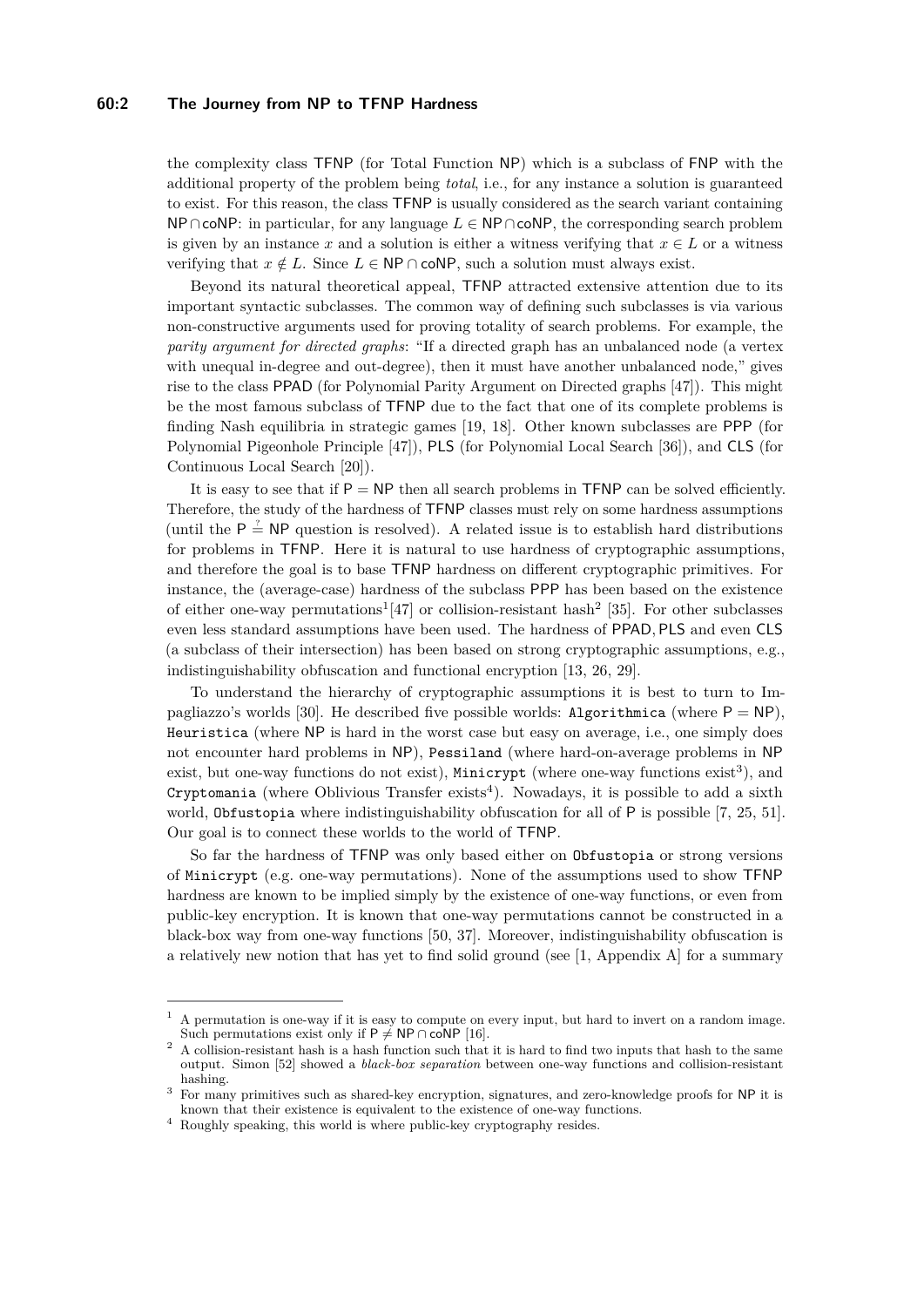## **60:2 The Journey from NP to TFNP Hardness**

the complexity class TFNP (for Total Function NP) which is a subclass of FNP with the additional property of the problem being *total*, i.e., for any instance a solution is guaranteed to exist. For this reason, the class TFNP is usually considered as the search variant containing NP∩coNP: in particular, for any language  $L \in \mathsf{NP} \cap \mathsf{coNP}$ , the corresponding search problem is given by an instance *x* and a solution is either a witness verifying that  $x \in L$  or a witness verifying that  $x \notin L$ . Since  $L \in \mathsf{NP} \cap \mathsf{coNP}$ , such a solution must always exist.

Beyond its natural theoretical appeal, TFNP attracted extensive attention due to its important syntactic subclasses. The common way of defining such subclasses is via various non-constructive arguments used for proving totality of search problems. For example, the *parity argument for directed graphs*: "If a directed graph has an unbalanced node (a vertex with unequal in-degree and out-degree), then it must have another unbalanced node," gives rise to the class PPAD (for Polynomial Parity Argument on Directed graphs [\[47\]](#page-18-0)). This might be the most famous subclass of TFNP due to the fact that one of its complete problems is finding Nash equilibria in strategic games [\[19,](#page-16-0) [18\]](#page-16-1). Other known subclasses are PPP (for Polynomial Pigeonhole Principle [\[47\]](#page-18-0)), PLS (for Polynomial Local Search [\[36\]](#page-17-1)), and CLS (for Continuous Local Search [\[20\]](#page-16-2)).

It is easy to see that if  $P = NP$  then all search problems in TFNP can be solved efficiently. Therefore, the study of the hardness of TFNP classes must rely on some hardness assumptions (until the  $P \stackrel{\text{?}}{=} NP$  question is resolved). A related issue is to establish hard distributions for problems in TFNP. Here it is natural to use hardness of cryptographic assumptions, and therefore the goal is to base TFNP hardness on different cryptographic primitives. For instance, the (average-case) hardness of the subclass PPP has been based on the existence of either one-way permutations<sup>[1](#page-1-0)</sup>[\[47\]](#page-18-0) or collision-resistant hash<sup>[2](#page-1-1)</sup> [\[35\]](#page-17-2). For other subclasses even less standard assumptions have been used. The hardness of PPAD*,* PLS and even CLS (a subclass of their intersection) has been based on strong cryptographic assumptions, e.g., indistinguishability obfuscation and functional encryption [\[13,](#page-16-3) [26,](#page-16-4) [29\]](#page-17-3).

To understand the hierarchy of cryptographic assumptions it is best to turn to Im-pagliazzo's worlds [\[30\]](#page-17-4). He described five possible worlds: Algorithmica (where  $P = NP$ ), Heuristica (where NP is hard in the worst case but easy on average, i.e., one simply does not encounter hard problems in NP), Pessiland (where hard-on-average problems in NP exist, but one-way functions do not exist), Minicrypt (where one-way functions  $exist<sup>3</sup>$  $exist<sup>3</sup>$  $exist<sup>3</sup>$ ), and  $C$ ryptomania (where Oblivious Transfer exists<sup>[4](#page-1-3)</sup>). Nowadays, it is possible to add a sixth world, Obfustopia where indistinguishability obfuscation for all of P is possible [\[7,](#page-15-0) [25,](#page-16-5) [51\]](#page-18-1). Our goal is to connect these worlds to the world of TFNP.

So far the hardness of TFNP was only based either on Obfustopia or strong versions of Minicrypt (e.g. one-way permutations). None of the assumptions used to show TFNP hardness are known to be implied simply by the existence of one-way functions, or even from public-key encryption. It is known that one-way permutations cannot be constructed in a black-box way from one-way functions [\[50,](#page-18-2) [37\]](#page-17-5). Moreover, indistinguishability obfuscation is a relatively new notion that has yet to find solid ground (see  $[1,$  Appendix A] for a summary

<span id="page-1-0"></span> $<sup>1</sup>$  A permutation is one-way if it is easy to compute on every input, but hard to invert on a random image.</sup> Such permutations exist only if P  $\neq$  NP ∩ coNP [\[16\]](#page-16-6).

<span id="page-1-1"></span><sup>&</sup>lt;sup>2</sup> A collision-resistant hash is a hash function such that it is hard to find two inputs that hash to the same output. Simon [\[52\]](#page-18-3) showed a *black-box separation* between one-way functions and collision-resistant hashing.

<span id="page-1-2"></span><sup>&</sup>lt;sup>3</sup> For many primitives such as shared-key encryption, signatures, and zero-knowledge proofs for NP it is known that their existence is equivalent to the existence of one-way functions.

<span id="page-1-3"></span><sup>4</sup> Roughly speaking, this world is where public-key cryptography resides.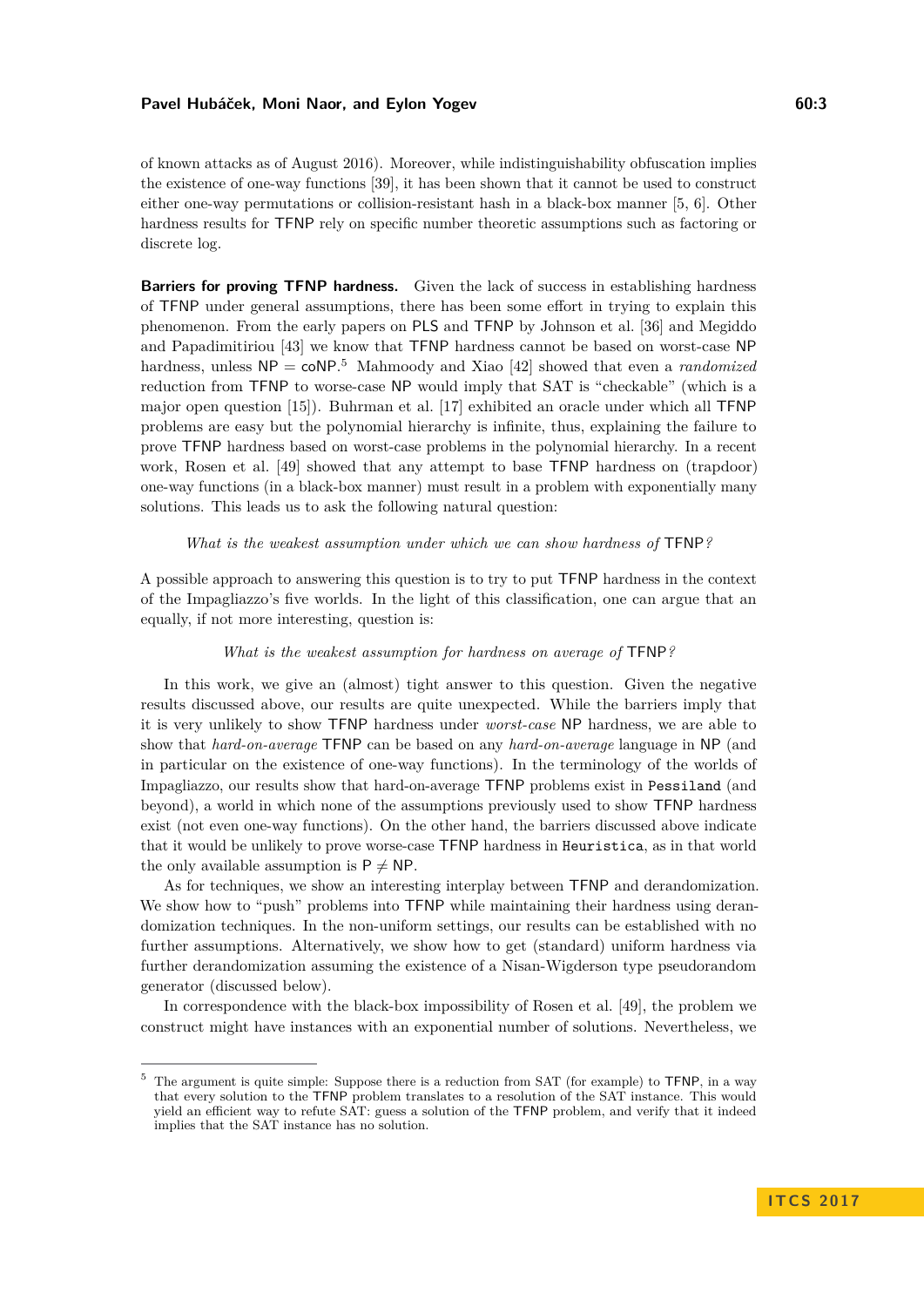of known attacks as of August 2016). Moreover, while indistinguishability obfuscation implies the existence of one-way functions [\[39\]](#page-17-6), it has been shown that it cannot be used to construct either one-way permutations or collision-resistant hash in a black-box manner [\[5,](#page-15-2) [6\]](#page-15-3). Other hardness results for TFNP rely on specific number theoretic assumptions such as factoring or discrete log.

**Barriers for proving TFNP hardness.** Given the lack of success in establishing hardness of TFNP under general assumptions, there has been some effort in trying to explain this phenomenon. From the early papers on PLS and TFNP by Johnson et al. [\[36\]](#page-17-1) and Megiddo and Papadimitiriou [\[43\]](#page-17-0) we know that TFNP hardness cannot be based on worst-case NP hardness, unless  $NP = coNP<sup>5</sup>$  $NP = coNP<sup>5</sup>$  $NP = coNP<sup>5</sup>$  Mahmoody and Xiao [\[42\]](#page-17-7) showed that even a *randomized* reduction from TFNP to worse-case NP would imply that SAT is "checkable" (which is a major open question [\[15\]](#page-16-7)). Buhrman et al. [\[17\]](#page-16-8) exhibited an oracle under which all TFNP problems are easy but the polynomial hierarchy is infinite, thus, explaining the failure to prove TFNP hardness based on worst-case problems in the polynomial hierarchy. In a recent work, Rosen et al. [\[49\]](#page-18-4) showed that any attempt to base TFNP hardness on (trapdoor) one-way functions (in a black-box manner) must result in a problem with exponentially many solutions. This leads us to ask the following natural question:

## *What is the weakest assumption under which we can show hardness of* TFNP*?*

A possible approach to answering this question is to try to put TFNP hardness in the context of the Impagliazzo's five worlds. In the light of this classification, one can argue that an equally, if not more interesting, question is:

## *What is the weakest assumption for hardness on average of* TFNP*?*

In this work, we give an (almost) tight answer to this question. Given the negative results discussed above, our results are quite unexpected. While the barriers imply that it is very unlikely to show TFNP hardness under *worst-case* NP hardness, we are able to show that *hard-on-average* TFNP can be based on any *hard-on-average* language in NP (and in particular on the existence of one-way functions). In the terminology of the worlds of Impagliazzo, our results show that hard-on-average TFNP problems exist in Pessiland (and beyond), a world in which none of the assumptions previously used to show TFNP hardness exist (not even one-way functions). On the other hand, the barriers discussed above indicate that it would be unlikely to prove worse-case TFNP hardness in Heuristica, as in that world the only available assumption is  $P \neq NP$ .

As for techniques, we show an interesting interplay between TFNP and derandomization. We show how to "push" problems into TFNP while maintaining their hardness using derandomization techniques. In the non-uniform settings, our results can be established with no further assumptions. Alternatively, we show how to get (standard) uniform hardness via further derandomization assuming the existence of a Nisan-Wigderson type pseudorandom generator (discussed below).

In correspondence with the black-box impossibility of Rosen et al. [\[49\]](#page-18-4), the problem we construct might have instances with an exponential number of solutions. Nevertheless, we

<span id="page-2-0"></span> $5$  The argument is quite simple: Suppose there is a reduction from SAT (for example) to TFNP, in a way that every solution to the TFNP problem translates to a resolution of the SAT instance. This would yield an efficient way to refute SAT: guess a solution of the TFNP problem, and verify that it indeed implies that the SAT instance has no solution.

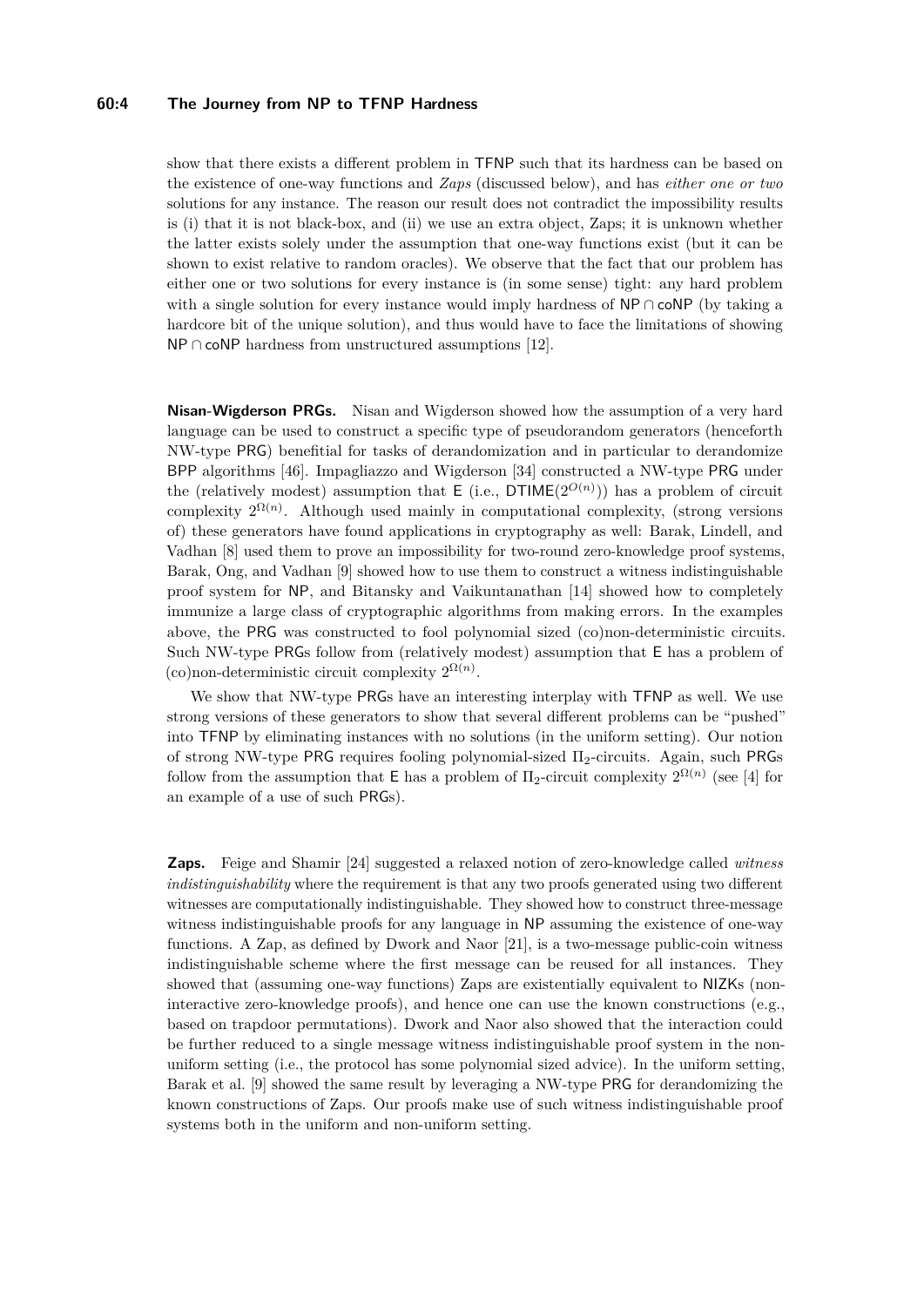## **60:4 The Journey from NP to TFNP Hardness**

show that there exists a different problem in TFNP such that its hardness can be based on the existence of one-way functions and *Zaps* (discussed below), and has *either one or two* solutions for any instance. The reason our result does not contradict the impossibility results is (i) that it is not black-box, and (ii) we use an extra object, Zaps; it is unknown whether the latter exists solely under the assumption that one-way functions exist (but it can be shown to exist relative to random oracles). We observe that the fact that our problem has either one or two solutions for every instance is (in some sense) tight: any hard problem with a single solution for every instance would imply hardness of NP ∩ coNP (by taking a hardcore bit of the unique solution), and thus would have to face the limitations of showing  $NP \cap coNP$  hardness from unstructured assumptions [\[12\]](#page-16-9).

**Nisan-Wigderson PRGs.** Nisan and Wigderson showed how the assumption of a very hard language can be used to construct a specific type of pseudorandom generators (henceforth NW-type PRG) benefitial for tasks of derandomization and in particular to derandomize BPP algorithms [\[46\]](#page-18-5). Impagliazzo and Wigderson [\[34\]](#page-17-8) constructed a NW-type PRG under the (relatively modest) assumption that  $E$  (i.e.,  $DTIME(2^{O(n)})$ ) has a problem of circuit complexity  $2^{\Omega(n)}$ . Although used mainly in computational complexity, (strong versions of) these generators have found applications in cryptography as well: Barak, Lindell, and Vadhan [\[8\]](#page-16-10) used them to prove an impossibility for two-round zero-knowledge proof systems, Barak, Ong, and Vadhan [\[9\]](#page-16-11) showed how to use them to construct a witness indistinguishable proof system for NP, and Bitansky and Vaikuntanathan [\[14\]](#page-16-12) showed how to completely immunize a large class of cryptographic algorithms from making errors. In the examples above, the PRG was constructed to fool polynomial sized (co)non-deterministic circuits. Such NW-type PRGs follow from (relatively modest) assumption that E has a problem of (co)non-deterministic circuit complexity  $2^{\Omega(n)}$ .

We show that NW-type PRGs have an interesting interplay with TFNP as well. We use strong versions of these generators to show that several different problems can be "pushed" into TFNP by eliminating instances with no solutions (in the uniform setting). Our notion of strong NW-type PRG requires fooling polynomial-sized Π2-circuits. Again, such PRGs follow from the assumption that  $E$  has a problem of  $\Pi_2$ -circuit complexity  $2^{\Omega(n)}$  (see [\[4\]](#page-15-4) for an example of a use of such PRGs).

**Zaps.** Feige and Shamir [\[24\]](#page-16-13) suggested a relaxed notion of zero-knowledge called *witness indistinguishability* where the requirement is that any two proofs generated using two different witnesses are computationally indistinguishable. They showed how to construct three-message witness indistinguishable proofs for any language in NP assuming the existence of one-way functions. A Zap, as defined by Dwork and Naor [\[21\]](#page-16-14), is a two-message public-coin witness indistinguishable scheme where the first message can be reused for all instances. They showed that (assuming one-way functions) Zaps are existentially equivalent to NIZKs (noninteractive zero-knowledge proofs), and hence one can use the known constructions (e.g., based on trapdoor permutations). Dwork and Naor also showed that the interaction could be further reduced to a single message witness indistinguishable proof system in the nonuniform setting (i.e., the protocol has some polynomial sized advice). In the uniform setting, Barak et al. [\[9\]](#page-16-11) showed the same result by leveraging a NW-type PRG for derandomizing the known constructions of Zaps. Our proofs make use of such witness indistinguishable proof systems both in the uniform and non-uniform setting.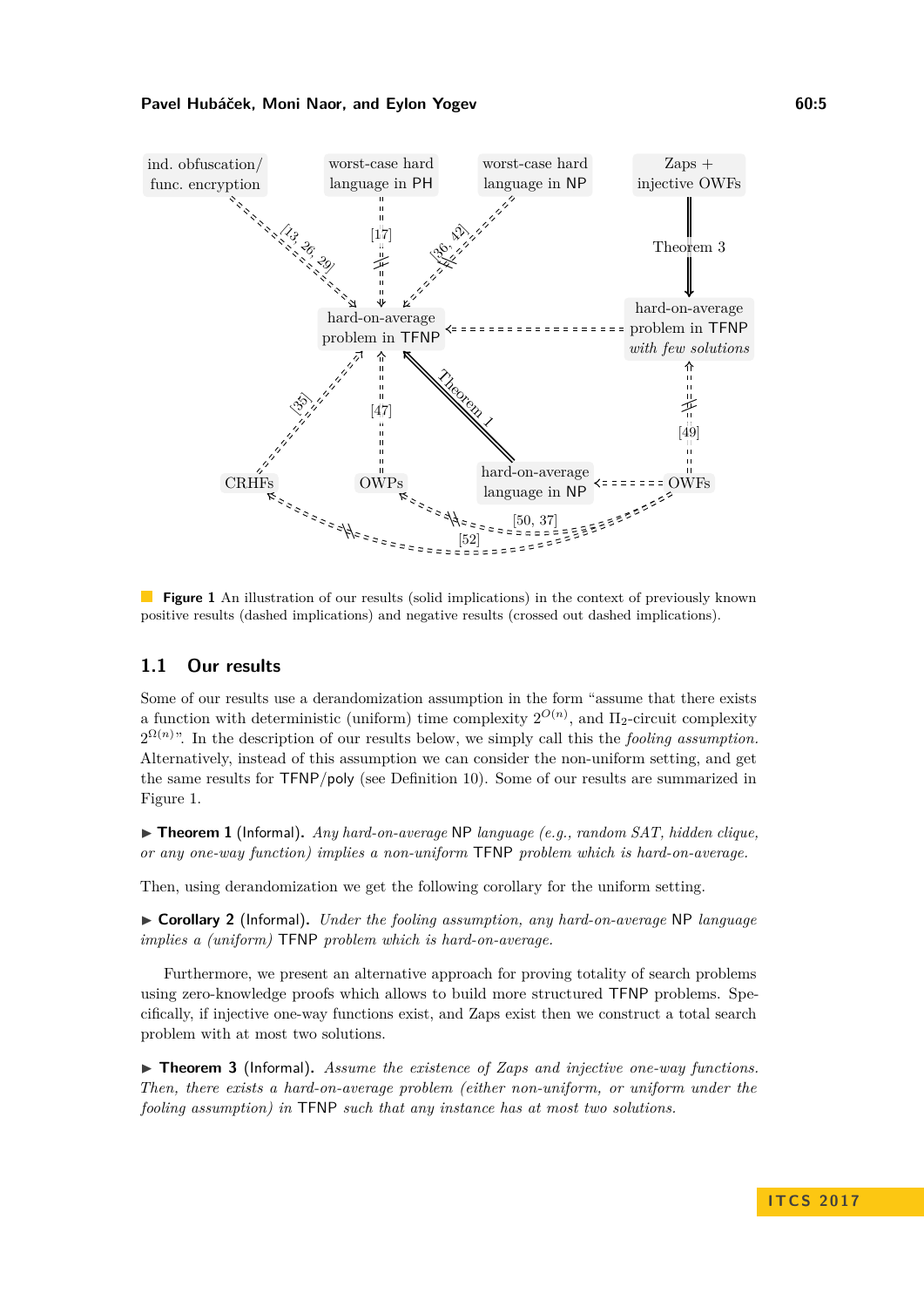<span id="page-4-1"></span>

**Figure 1** An illustration of our results (solid implications) in the context of previously known positive results (dashed implications) and negative results (crossed out dashed implications).

# <span id="page-4-2"></span>**1.1 Our results**

Some of our results use a derandomization assumption in the form "assume that there exists a function with deterministic (uniform) time complexity  $2^{O(n)}$ , and  $\Pi_2$ -circuit complexity  $2^{\Omega(n)}$ . In the description of our results below, we simply call this the *fooling assumption*. Alternatively, instead of this assumption we can consider the non-uniform setting, and get the same results for TFNP*/*poly (see Definition [10\)](#page-8-0). Some of our results are summarized in Figure [1.](#page-4-1)

▶ **Theorem 1** (Informal). *Any hard-on-average* NP *language* (e.g., random SAT, hidden clique, *or any one-way function) implies a non-uniform* TFNP *problem which is hard-on-average.*

Then, using derandomization we get the following corollary for the uniform setting.

I **Corollary 2** (Informal)**.** *Under the fooling assumption, any hard-on-average* NP *language implies a (uniform)* TFNP *problem which is hard-on-average.*

Furthermore, we present an alternative approach for proving totality of search problems using zero-knowledge proofs which allows to build more structured TFNP problems. Specifically, if injective one-way functions exist, and Zaps exist then we construct a total search problem with at most two solutions.

<span id="page-4-0"></span>▶ **Theorem 3** (Informal). Assume the existence of Zaps and injective one-way functions. *Then, there exists a hard-on-average problem (either non-uniform, or uniform under the fooling assumption) in* TFNP *such that any instance has at most two solutions.*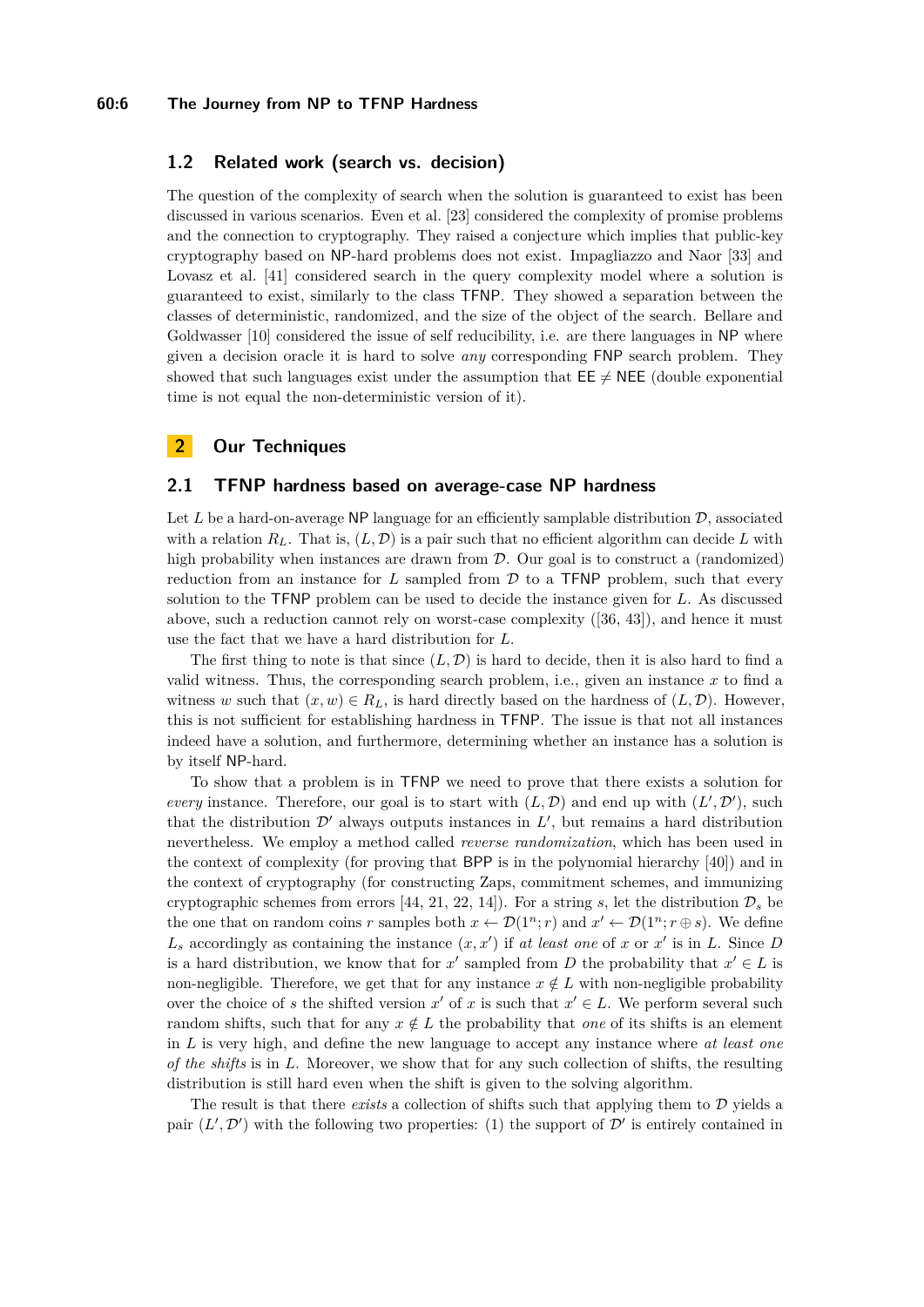### **60:6 The Journey from NP to TFNP Hardness**

# **1.2 Related work (search vs. decision)**

The question of the complexity of search when the solution is guaranteed to exist has been discussed in various scenarios. Even et al. [\[23\]](#page-16-15) considered the complexity of promise problems and the connection to cryptography. They raised a conjecture which implies that public-key cryptography based on NP-hard problems does not exist. Impagliazzo and Naor [\[33\]](#page-17-9) and Lovasz et al. [\[41\]](#page-17-10) considered search in the query complexity model where a solution is guaranteed to exist, similarly to the class TFNP. They showed a separation between the classes of deterministic, randomized, and the size of the object of the search. Bellare and Goldwasser [\[10\]](#page-16-16) considered the issue of self reducibility, i.e. are there languages in NP where given a decision oracle it is hard to solve *any* corresponding FNP search problem. They showed that such languages exist under the assumption that  $\mathsf{EE} \neq \mathsf{NEE}$  (double exponential time is not equal the non-deterministic version of it).

# **2 Our Techniques**

# <span id="page-5-0"></span>**2.1 TFNP hardness based on average-case NP hardness**

Let  $L$  be a hard-on-average NP language for an efficiently samplable distribution  $\mathcal{D}$ , associated with a relation  $R_L$ . That is,  $(L, \mathcal{D})$  is a pair such that no efficient algorithm can decide L with high probability when instances are drawn from  $D$ . Our goal is to construct a (randomized) reduction from an instance for *L* sampled from D to a TFNP problem, such that every solution to the TFNP problem can be used to decide the instance given for *L*. As discussed above, such a reduction cannot rely on worst-case complexity ([\[36,](#page-17-1) [43\]](#page-17-0)), and hence it must use the fact that we have a hard distribution for *L*.

The first thing to note is that since  $(L, \mathcal{D})$  is hard to decide, then it is also hard to find a valid witness. Thus, the corresponding search problem, i.e., given an instance *x* to find a witness *w* such that  $(x, w) \in R_L$ , is hard directly based on the hardness of  $(L, \mathcal{D})$ . However, this is not sufficient for establishing hardness in TFNP. The issue is that not all instances indeed have a solution, and furthermore, determining whether an instance has a solution is by itself NP-hard.

To show that a problem is in TFNP we need to prove that there exists a solution for *every* instance. Therefore, our goal is to start with  $(L, \mathcal{D})$  and end up with  $(L', \mathcal{D}')$ , such that the distribution  $\mathcal{D}'$  always outputs instances in  $L'$ , but remains a hard distribution nevertheless. We employ a method called *reverse randomization*, which has been used in the context of complexity (for proving that BPP is in the polynomial hierarchy [\[40\]](#page-17-11)) and in the context of cryptography (for constructing Zaps, commitment schemes, and immunizing cryptographic schemes from errors [\[44,](#page-17-12) [21,](#page-16-14) [22,](#page-16-17) [14\]](#page-16-12)). For a string *s*, let the distribution  $\mathcal{D}_s$  be the one that on random coins *r* samples both  $x \leftarrow \mathcal{D}(1^n; r)$  and  $x' \leftarrow \mathcal{D}(1^n; r \oplus s)$ . We define  $L_s$  accordingly as containing the instance  $(x, x')$  if *at least one* of *x* or  $x'$  is in *L*. Since *D* is a hard distribution, we know that for  $x'$  sampled from *D* the probability that  $x' \in L$  is non-negligible. Therefore, we get that for any instance  $x \notin L$  with non-negligible probability over the choice of *s* the shifted version  $x'$  of  $x$  is such that  $x' \in L$ . We perform several such random shifts, such that for any  $x \notin L$  the probability that *one* of its shifts is an element in *L* is very high, and define the new language to accept any instance where *at least one of the shifts* is in *L*. Moreover, we show that for any such collection of shifts, the resulting distribution is still hard even when the shift is given to the solving algorithm.

The result is that there *exists* a collection of shifts such that applying them to D yields a pair  $(L', \mathcal{D}')$  with the following two properties: (1) the support of  $\mathcal{D}'$  is entirely contained in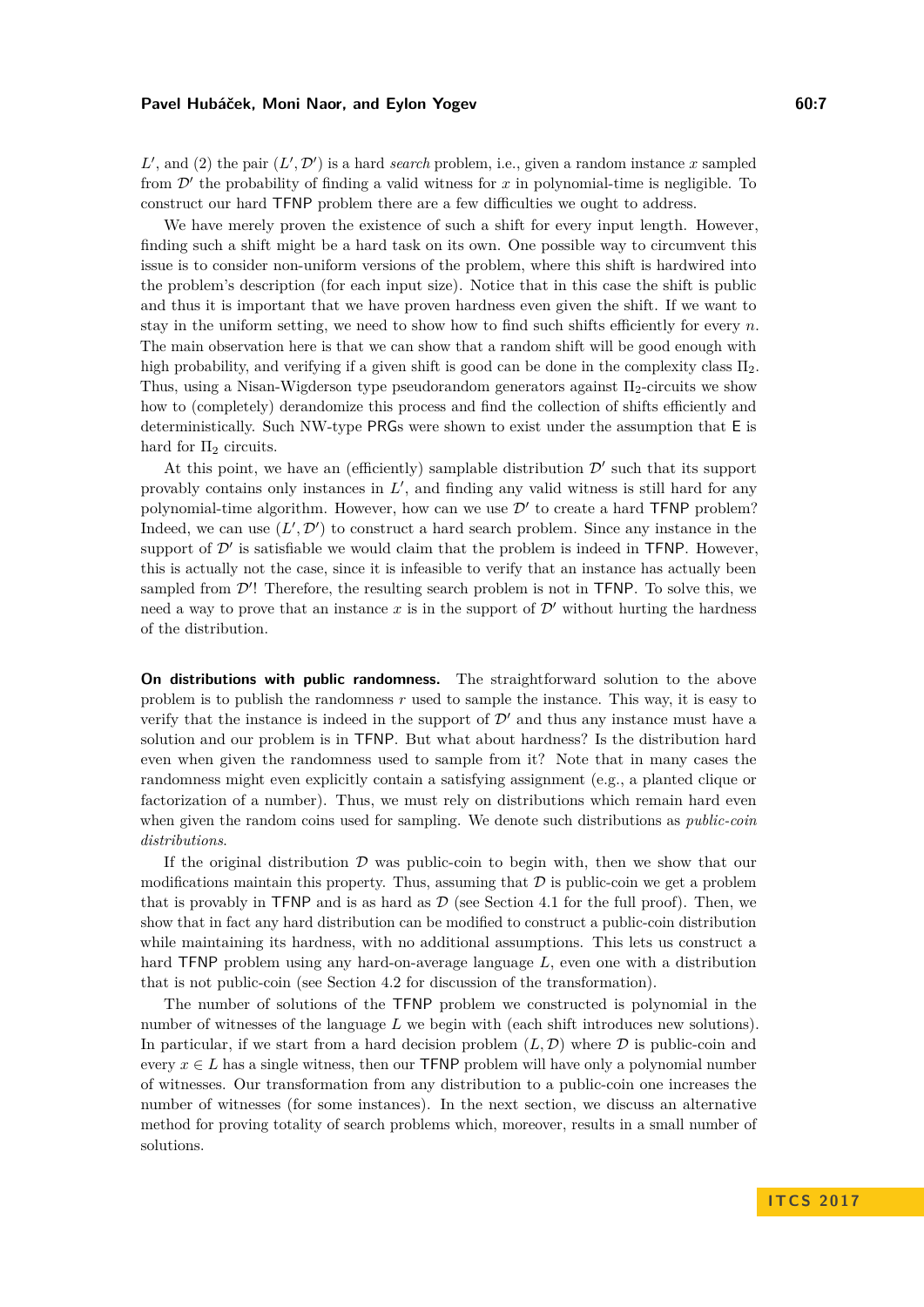$L'$ , and (2) the pair  $(L', \mathcal{D}')$  is a hard *search* problem, i.e., given a random instance *x* sampled from  $\mathcal{D}'$  the probability of finding a valid witness for  $x$  in polynomial-time is negligible. To construct our hard TFNP problem there are a few difficulties we ought to address.

We have merely proven the existence of such a shift for every input length. However, finding such a shift might be a hard task on its own. One possible way to circumvent this issue is to consider non-uniform versions of the problem, where this shift is hardwired into the problem's description (for each input size). Notice that in this case the shift is public and thus it is important that we have proven hardness even given the shift. If we want to stay in the uniform setting, we need to show how to find such shifts efficiently for every *n*. The main observation here is that we can show that a random shift will be good enough with high probability, and verifying if a given shift is good can be done in the complexity class  $\Pi_2$ . Thus, using a Nisan-Wigderson type pseudorandom generators against  $\Pi_2$ -circuits we show how to (completely) derandomize this process and find the collection of shifts efficiently and deterministically. Such NW-type PRGs were shown to exist under the assumption that E is hard for  $\Pi_2$  circuits.

At this point, we have an (efficiently) samplable distribution  $\mathcal{D}'$  such that its support provably contains only instances in  $L'$ , and finding any valid witness is still hard for any polynomial-time algorithm. However, how can we use  $\mathcal{D}'$  to create a hard TFNP problem? Indeed, we can use  $(L', \mathcal{D}')$  to construct a hard search problem. Since any instance in the support of  $\mathcal{D}'$  is satisfiable we would claim that the problem is indeed in TFNP. However, this is actually not the case, since it is infeasible to verify that an instance has actually been sampled from  $\mathcal{D}'$ ! Therefore, the resulting search problem is not in TFNP. To solve this, we need a way to prove that an instance  $x$  is in the support of  $\mathcal{D}'$  without hurting the hardness of the distribution.

**On distributions with public randomness.** The straightforward solution to the above problem is to publish the randomness *r* used to sample the instance. This way, it is easy to verify that the instance is indeed in the support of  $\mathcal{D}'$  and thus any instance must have a solution and our problem is in TFNP. But what about hardness? Is the distribution hard even when given the randomness used to sample from it? Note that in many cases the randomness might even explicitly contain a satisfying assignment (e.g., a planted clique or factorization of a number). Thus, we must rely on distributions which remain hard even when given the random coins used for sampling. We denote such distributions as *public-coin distributions*.

If the original distribution  $\mathcal D$  was public-coin to begin with, then we show that our modifications maintain this property. Thus, assuming that  $\mathcal D$  is public-coin we get a problem that is provably in TFNP and is as hard as  $D$  (see Section [4.1](#page-10-0) for the full proof). Then, we show that in fact any hard distribution can be modified to construct a public-coin distribution while maintaining its hardness, with no additional assumptions. This lets us construct a hard TFNP problem using any hard-on-average language *L*, even one with a distribution that is not public-coin (see Section [4.2](#page-12-0) for discussion of the transformation).

The number of solutions of the TFNP problem we constructed is polynomial in the number of witnesses of the language *L* we begin with (each shift introduces new solutions). In particular, if we start from a hard decision problem  $(L, D)$  where  $D$  is public-coin and every  $x \in L$  has a single witness, then our **TFNP** problem will have only a polynomial number of witnesses. Our transformation from any distribution to a public-coin one increases the number of witnesses (for some instances). In the next section, we discuss an alternative method for proving totality of search problems which, moreover, results in a small number of solutions.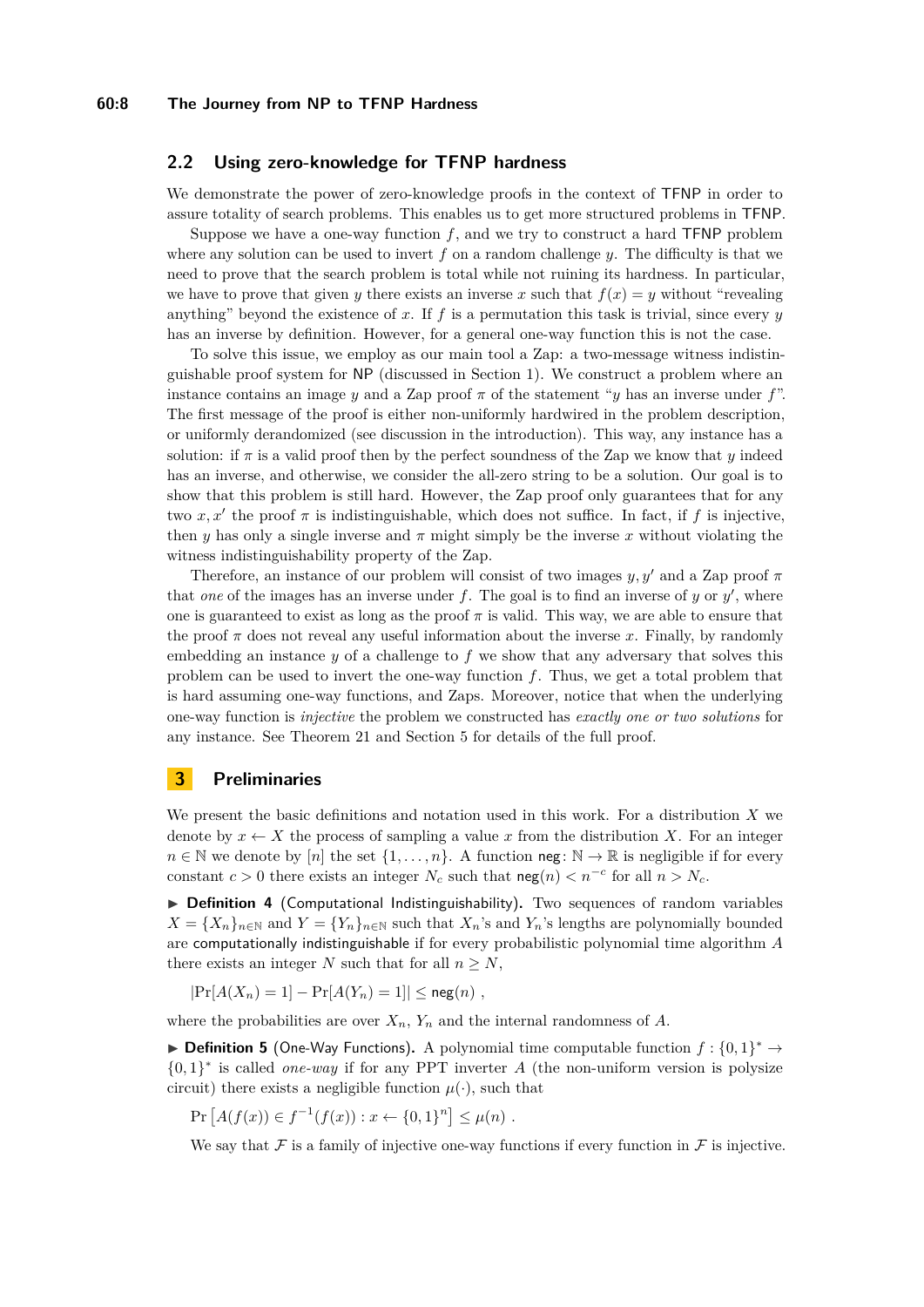## **2.2 Using zero-knowledge for TFNP hardness**

We demonstrate the power of zero-knowledge proofs in the context of TFNP in order to assure totality of search problems. This enables us to get more structured problems in TFNP.

Suppose we have a one-way function  $f$ , and we try to construct a hard  $TFNP$  problem where any solution can be used to invert *f* on a random challenge *y*. The difficulty is that we need to prove that the search problem is total while not ruining its hardness. In particular, we have to prove that given *y* there exists an inverse *x* such that  $f(x) = y$  without "revealing" anything" beyond the existence of  $x$ . If  $f$  is a permutation this task is trivial, since every  $y$ has an inverse by definition. However, for a general one-way function this is not the case.

To solve this issue, we employ as our main tool a Zap: a two-message witness indistinguishable proof system for NP (discussed in Section [1\)](#page-0-0). We construct a problem where an instance contains an image *y* and a Zap proof  $\pi$  of the statement "*y* has an inverse under f". The first message of the proof is either non-uniformly hardwired in the problem description, or uniformly derandomized (see discussion in the introduction). This way, any instance has a solution: if  $\pi$  is a valid proof then by the perfect soundness of the Zap we know that *y* indeed has an inverse, and otherwise, we consider the all-zero string to be a solution. Our goal is to show that this problem is still hard. However, the Zap proof only guarantees that for any two  $x, x'$  the proof  $\pi$  is indistinguishable, which does not suffice. In fact, if  $f$  is injective, then *y* has only a single inverse and  $\pi$  might simply be the inverse *x* without violating the witness indistinguishability property of the Zap.

Therefore, an instance of our problem will consist of two images *y, y*<sup>0</sup> and a Zap proof *π* that *one* of the images has an inverse under  $f$ . The goal is to find an inverse of  $y$  or  $y'$ , where one is guaranteed to exist as long as the proof  $\pi$  is valid. This way, we are able to ensure that the proof  $\pi$  does not reveal any useful information about the inverse  $x$ . Finally, by randomly embedding an instance *y* of a challenge to *f* we show that any adversary that solves this problem can be used to invert the one-way function *f*. Thus, we get a total problem that is hard assuming one-way functions, and Zaps. Moreover, notice that when the underlying one-way function is *injective* the problem we constructed has *exactly one or two solutions* for any instance. See Theorem [21](#page-13-0) and Section [5](#page-13-1) for details of the full proof.

# **3 Preliminaries**

We present the basic definitions and notation used in this work. For a distribution *X* we denote by  $x \leftarrow X$  the process of sampling a value x from the distribution X. For an integer  $n \in \mathbb{N}$  we denote by  $[n]$  the set  $\{1, \ldots, n\}$ . A function neg:  $\mathbb{N} \to \mathbb{R}$  is negligible if for every constant  $c > 0$  there exists an integer  $N_c$  such that  $\log(n) < n^{-c}$  for all  $n > N_c$ .

▶ Definition 4 (Computational Indistinguishability). Two sequences of random variables  $X = \{X_n\}_{n\in\mathbb{N}}$  and  $Y = \{Y_n\}_{n\in\mathbb{N}}$  such that  $X_n$ 's and  $Y_n$ 's lengths are polynomially bounded are computationally indistinguishable if for every probabilistic polynomial time algorithm *A* there exists an integer *N* such that for all  $n > N$ ,

 $|Pr[A(X_n) = 1] - Pr[A(Y_n) = 1]| \leq neg(n)$ ,

where the probabilities are over  $X_n$ ,  $Y_n$  and the internal randomness of  $A$ .

<span id="page-7-0"></span>**▶ Definition 5** (One-Way Functions). A polynomial time computable function  $f: \{0,1\}^*$  → {0*,* 1} ∗ is called *one-way* if for any PPT inverter *A* (the non-uniform version is polysize circuit) there exists a negligible function  $\mu(\cdot)$ , such that

$$
Pr [A(f(x)) \in f^{-1}(f(x)) : x \leftarrow \{0,1\}^n] \leq \mu(n) .
$$

We say that F is a family of injective one-way functions if every function in F is injective.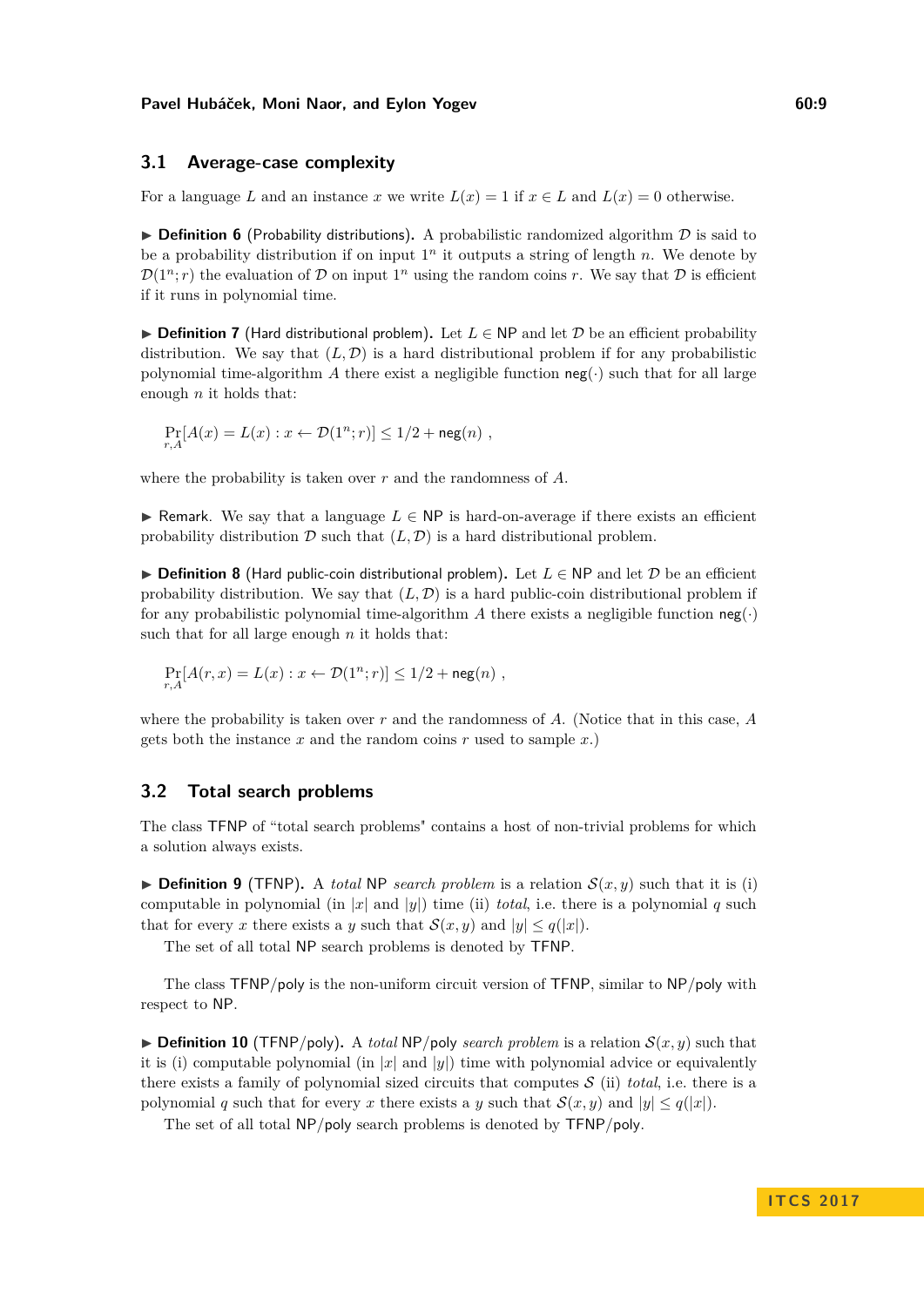## **3.1 Average-case complexity**

For a language *L* and an instance *x* we write  $L(x) = 1$  if  $x \in L$  and  $L(x) = 0$  otherwise.

 $\triangleright$  **Definition 6** (Probability distributions). A probabilistic randomized algorithm  $\mathcal{D}$  is said to be a probability distribution if on input  $1<sup>n</sup>$  it outputs a string of length *n*. We denote by  $\mathcal{D}(1^n; r)$  the evaluation of D on input  $1^n$  using the random coins r. We say that D is efficient if it runs in polynomial time.

**► Definition 7** (Hard distributional problem). Let  $L \in \mathbb{NP}$  and let  $\mathcal{D}$  be an efficient probability distribution. We say that  $(L, \mathcal{D})$  is a hard distributional problem if for any probabilistic polynomial time-algorithm *A* there exist a negligible function  $neg(\cdot)$  such that for all large enough *n* it holds that:

$$
\Pr_{r,A}[A(x) = L(x) : x \leftarrow \mathcal{D}(1^n; r)] \le 1/2 + \operatorname{neg}(n) ,
$$

where the probability is taken over *r* and the randomness of *A*.

**► Remark.** We say that a language  $L \in \mathsf{NP}$  is hard-on-average if there exists an efficient probability distribution  $D$  such that  $(L, D)$  is a hard distributional problem.

<span id="page-8-1"></span>**► Definition 8** (Hard public-coin distributional problem). Let  $L \in NP$  and let  $D$  be an efficient probability distribution. We say that  $(L, D)$  is a hard public-coin distributional problem if for any probabilistic polynomial time-algorithm A there exists a negligible function  $neg(\cdot)$ such that for all large enough *n* it holds that:

$$
\Pr_{r,A}[A(r,x) = L(x) : x \leftarrow \mathcal{D}(1^n; r)] \le 1/2 + \text{neg}(n) ,
$$

where the probability is taken over *r* and the randomness of *A*. (Notice that in this case, *A* gets both the instance *x* and the random coins *r* used to sample *x*.)

# **3.2 Total search problems**

The class TFNP of "total search problems" contains a host of non-trivial problems for which a solution always exists.

**Definition 9** (TFNP). A *total* NP *search problem* is a relation  $S(x, y)$  such that it is (i) computable in polynomial (in  $|x|$  and  $|y|$ ) time (ii) *total*, i.e. there is a polynomial q such that for every *x* there exists a *y* such that  $\mathcal{S}(x, y)$  and  $|y| \leq q(|x|)$ .

The set of all total NP search problems is denoted by TFNP.

The class TFNP*/*poly is the non-uniform circuit version of TFNP, similar to NP*/*poly with respect to NP.

<span id="page-8-0"></span> $\triangleright$  **Definition 10** (TFNP/poly). A *total* NP/poly *search problem* is a relation  $S(x, y)$  such that it is (i) computable polynomial (in  $|x|$  and  $|y|$ ) time with polynomial advice or equivalently there exists a family of polynomial sized circuits that computes  $S$  (ii) *total*, i.e. there is a polynomial *q* such that for every *x* there exists a *y* such that  $S(x, y)$  and  $|y| \leq q(|x|)$ .

The set of all total NP*/*poly search problems is denoted by TFNP*/*poly.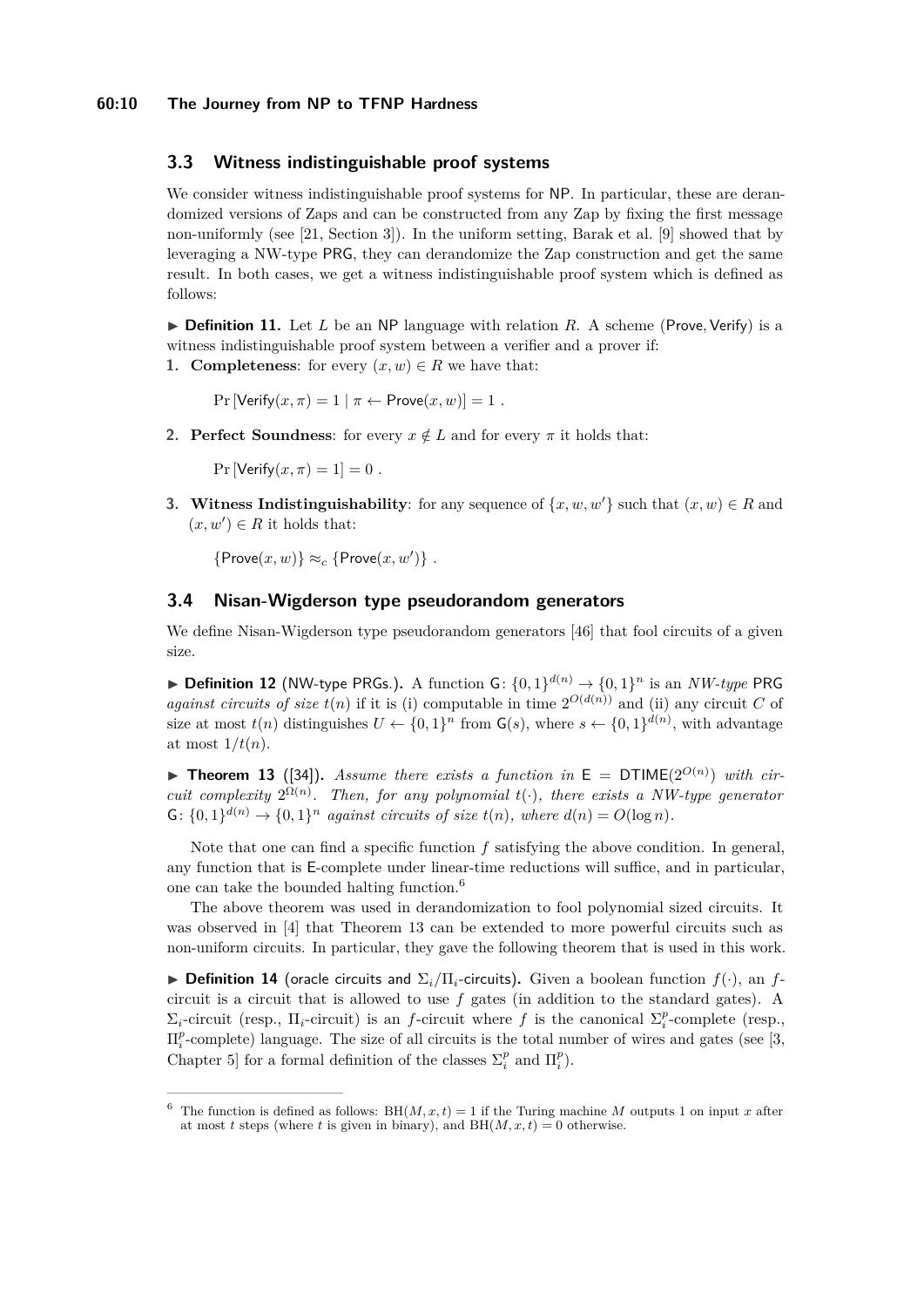## **60:10 The Journey from NP to TFNP Hardness**

# **3.3 Witness indistinguishable proof systems**

We consider witness indistinguishable proof systems for NP. In particular, these are derandomized versions of Zaps and can be constructed from any Zap by fixing the first message non-uniformly (see [\[21,](#page-16-14) Section 3]). In the uniform setting, Barak et al. [\[9\]](#page-16-11) showed that by leveraging a NW-type PRG, they can derandomize the Zap construction and get the same result. In both cases, we get a witness indistinguishable proof system which is defined as follows:

<span id="page-9-3"></span> $\triangleright$  **Definition 11.** Let *L* be an NP language with relation *R*. A scheme (Prove, Verify) is a witness indistinguishable proof system between a verifier and a prover if:

**1. Completeness:** for every  $(x, w) \in R$  we have that:

 $Pr$  [Verify $(x, \pi) = 1 | \pi \leftarrow Prove(x, w) = 1$ .

**2. Perfect Soundness**: for every  $x \notin L$  and for every  $\pi$  it holds that:

 $Pr$  [Verify $(x, \pi) = 1$ ] = 0.

**3. Witness Indistinguishability**: for any sequence of  $\{x, w, w'\}$  such that  $(x, w) \in R$  and  $(x, w') \in R$  it holds that:

 ${Prove}(x, w) \approx_c {Prove}(x, w')$ .

## **3.4 Nisan-Wigderson type pseudorandom generators**

We define Nisan-Wigderson type pseudorandom generators [\[46\]](#page-18-5) that fool circuits of a given size.

<span id="page-9-2"></span>▶ **Definition 12** (NW-type PRGs.). A function G:  $\{0,1\}^{d(n)}$  →  $\{0,1\}^n$  is an *NW-type* PRG *against circuits of size*  $t(n)$  if it is (i) computable in time  $2^{O(d(n))}$  and (ii) any circuit *C* of size at most  $t(n)$  distinguishes  $U \leftarrow \{0,1\}^n$  from  $\mathsf{G}(s)$ , where  $s \leftarrow \{0,1\}^{d(n)}$ , with advantage at most  $1/t(n)$ .

<span id="page-9-1"></span>**Find 13** ([\[34\]](#page-17-8)). Assume there exists a function in  $E = DTIME(2^{O(n)})$  with cir*cuit complexity*  $2^{\Omega(n)}$ *. Then, for any polynomial*  $t(\cdot)$ *, there exists a NW-type generator* G:  $\{0,1\}^{d(n)} \rightarrow \{0,1\}^n$  *against circuits of size*  $t(n)$ *, where*  $d(n) = O(\log n)$ *.* 

Note that one can find a specific function *f* satisfying the above condition. In general, any function that is E-complete under linear-time reductions will suffice, and in particular, one can take the bounded halting function.[6](#page-9-0)

The above theorem was used in derandomization to fool polynomial sized circuits. It was observed in [\[4\]](#page-15-4) that Theorem [13](#page-9-1) can be extended to more powerful circuits such as non-uniform circuits. In particular, they gave the following theorem that is used in this work.

**► Definition 14** (oracle circuits and  $\Sigma_i/\Pi_i$ -circuits). Given a boolean function  $f(\cdot)$ , an  $f$ circuit is a circuit that is allowed to use *f* gates (in addition to the standard gates). A  $\Sigma_i$ -circuit (resp.,  $\Pi_i$ -circuit) is an *f*-circuit where *f* is the canonical  $\Sigma_i^p$ -complete (resp.,  $\Pi_i^p$ -complete) language. The size of all circuits is the total number of wires and gates (see [\[3,](#page-15-5) Chapter 5] for a formal definition of the classes  $\Sigma_i^p$  and  $\Pi_i^p$ ).

<span id="page-9-0"></span><sup>&</sup>lt;sup>6</sup> The function is defined as follows: BH( $M, x, t$ ) = 1 if the Turing machine  $M$  outputs 1 on input  $x$  after at most *t* steps (where *t* is given in binary), and  $BH(M, x, t) = 0$  otherwise.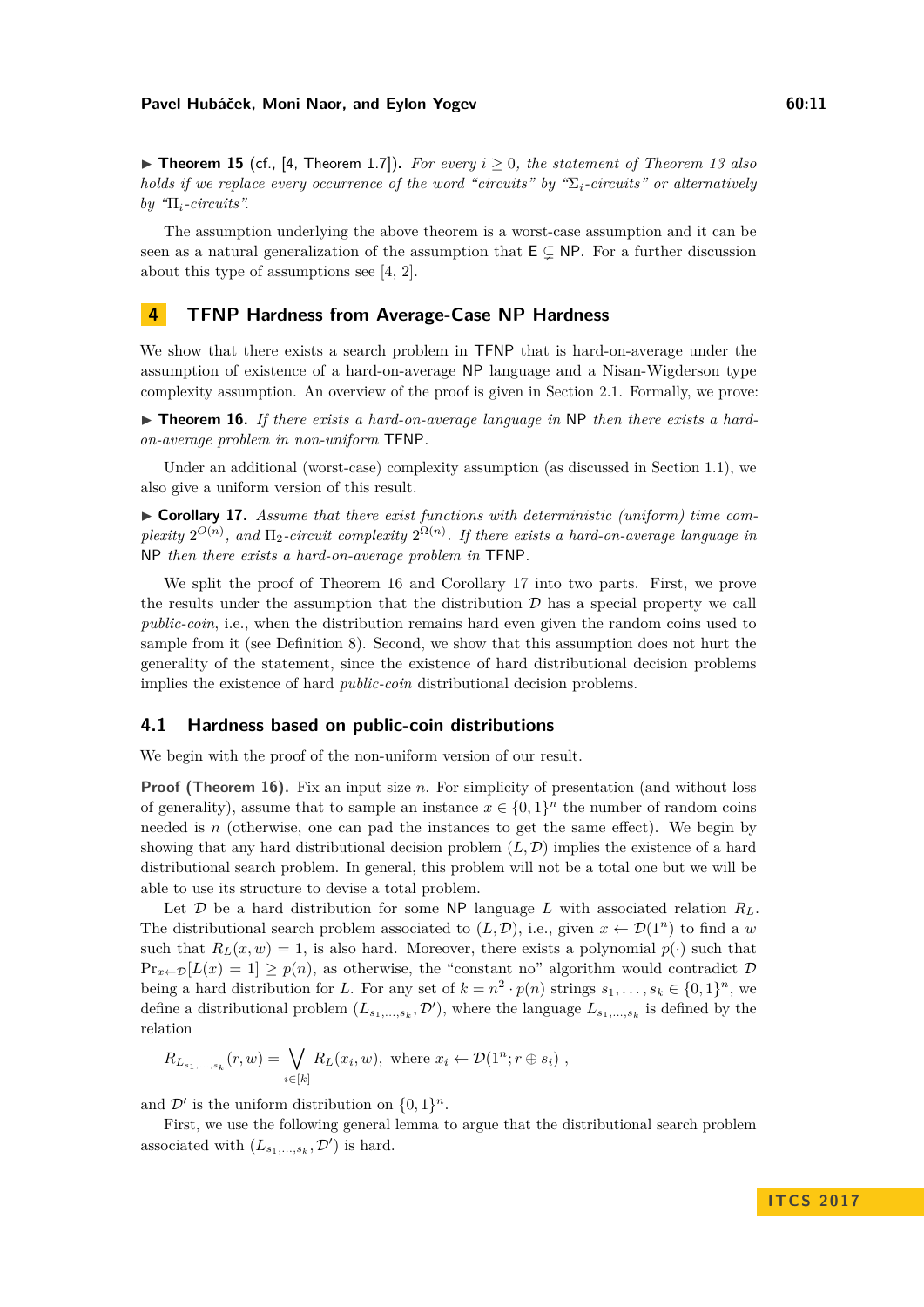The assumption underlying the above theorem is a worst-case assumption and it can be seen as a natural generalization of the assumption that  $E \subseteq NP$ . For a further discussion about this type of assumptions see [\[4,](#page-15-4) [2\]](#page-15-6).

# **4 TFNP Hardness from Average-Case NP Hardness**

We show that there exists a search problem in TFNP that is hard-on-average under the assumption of existence of a hard-on-average NP language and a Nisan-Wigderson type complexity assumption. An overview of the proof is given in Section [2.1.](#page-5-0) Formally, we prove:

<span id="page-10-1"></span>▶ **Theorem 16.** If there exists a hard-on-average language in NP then there exists a hard*on-average problem in non-uniform* TFNP*.*

Under an additional (worst-case) complexity assumption (as discussed in Section [1.1\)](#page-4-2), we also give a uniform version of this result.

<span id="page-10-2"></span>► Corollary 17. Assume that there exist functions with deterministic (uniform) time com*plexity*  $2^{O(n)}$ , and  $\Pi_2$ -circuit complexity  $2^{\Omega(n)}$ . If there exists a hard-on-average language in NP *then there exists a hard-on-average problem in* TFNP*.*

We split the proof of Theorem [16](#page-10-1) and Corollary [17](#page-10-2) into two parts. First, we prove the results under the assumption that the distribution  $\mathcal D$  has a special property we call *public-coin*, i.e., when the distribution remains hard even given the random coins used to sample from it (see Definition [8\)](#page-8-1). Second, we show that this assumption does not hurt the generality of the statement, since the existence of hard distributional decision problems implies the existence of hard *public-coin* distributional decision problems.

## <span id="page-10-0"></span>**4.1 Hardness based on public-coin distributions**

We begin with the proof of the non-uniform version of our result.

**Proof (Theorem [16\)](#page-10-1).** Fix an input size *n*. For simplicity of presentation (and without loss of generality), assume that to sample an instance  $x \in \{0,1\}^n$  the number of random coins needed is *n* (otherwise, one can pad the instances to get the same effect). We begin by showing that any hard distributional decision problem  $(L, \mathcal{D})$  implies the existence of a hard distributional search problem. In general, this problem will not be a total one but we will be able to use its structure to devise a total problem.

Let  $\mathcal{D}$  be a hard distribution for some NP language  $L$  with associated relation  $R_L$ . The distributional search problem associated to  $(L, \mathcal{D})$ , i.e., given  $x \leftarrow \mathcal{D}(1^n)$  to find a *w* such that  $R_L(x, w) = 1$ , is also hard. Moreover, there exists a polynomial  $p(\cdot)$  such that  $Pr_{x \leftarrow \mathcal{D}}[L(x) = 1] \geq p(n)$ , as otherwise, the "constant no" algorithm would contradict  $\mathcal{D}$ being a hard distribution for *L*. For any set of  $k = n^2 \cdot p(n)$  strings  $s_1, \ldots, s_k \in \{0, 1\}^n$ , we define a distributional problem  $(L_{s_1,...,s_k}, \mathcal{D}')$ , where the language  $L_{s_1,...,s_k}$  is defined by the relation

$$
R_{L_{s_1,\ldots,s_k}}(r,w) = \bigvee_{i \in [k]} R_L(x_i,w), \text{ where } x_i \leftarrow \mathcal{D}(1^n; r \oplus s_i),
$$

and  $\mathcal{D}'$  is the uniform distribution on  $\{0, 1\}^n$ .

First, we use the following general lemma to argue that the distributional search problem associated with  $(L_{s_1,...,s_k}, \mathcal{D}')$  is hard.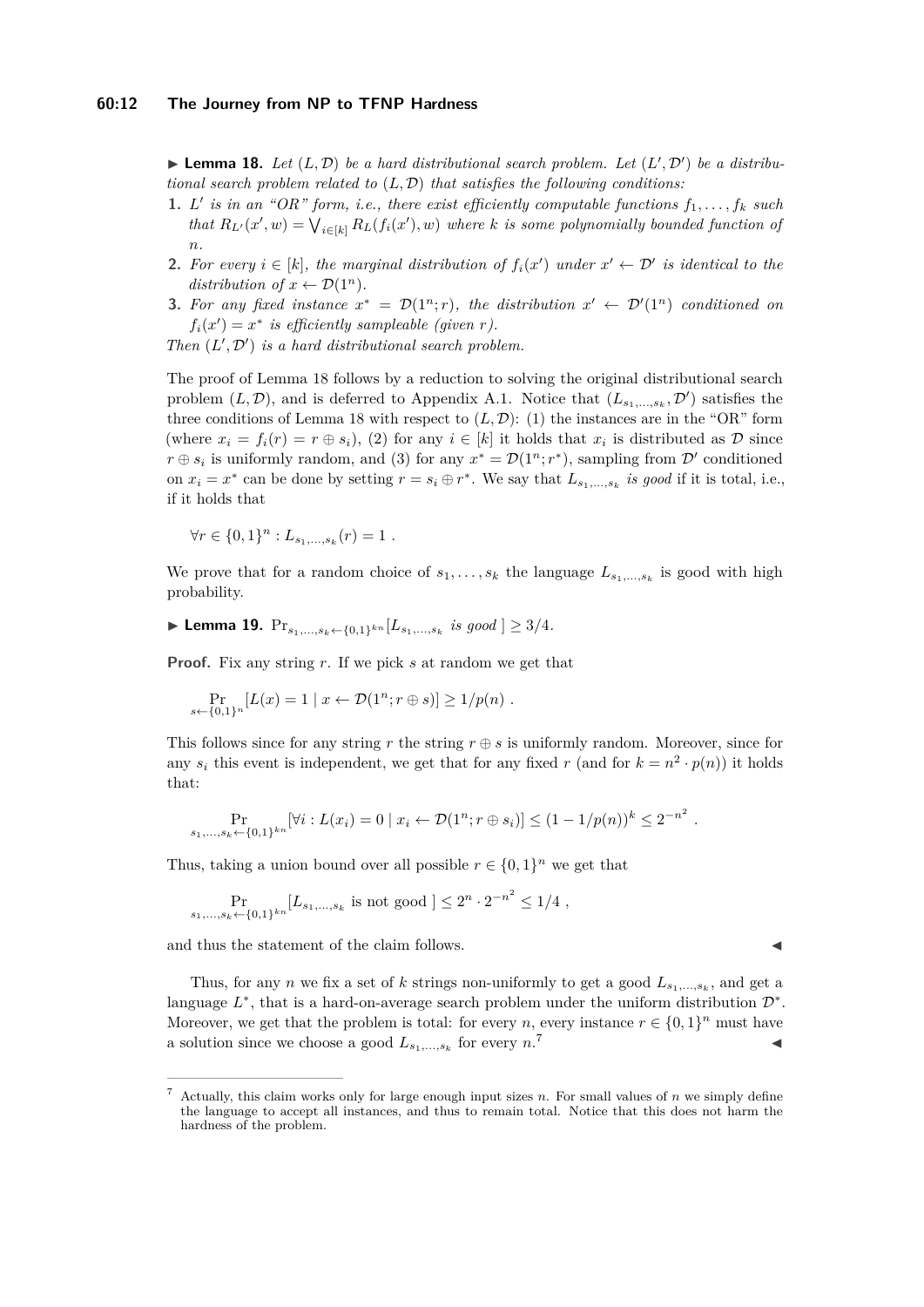<span id="page-11-0"></span> $\blacktriangleright$  **Lemma 18.** Let  $(L, \mathcal{D})$  be a hard distributional search problem. Let  $(L', \mathcal{D}')$  be a distribu*tional search problem related to* (*L,* D) *that satisfies the following conditions:*

- **1.** *L'* is in an "OR" form, i.e., there exist efficiently computable functions  $f_1, \ldots, f_k$  such *that*  $R_{L'}(x', w) = \bigvee_{i \in [k]} R_L(f_i(x'), w)$  *where k is some polynomially bounded function of n.*
- **2.** For every  $i \in [k]$ , the marginal distribution of  $f_i(x')$  under  $x' \leftarrow \mathcal{D}'$  is identical to the *distribution of*  $x \leftarrow \mathcal{D}(1^n)$ .
- **3.** For any fixed instance  $x^* = \mathcal{D}(1^n; r)$ , the distribution  $x' \leftarrow \mathcal{D}'(1^n)$  conditioned on  $f_i(x') = x^*$  *is efficiently sampleable (given r).*

*Then*  $(L', \mathcal{D}')$  *is a hard distributional search problem.* 

The proof of Lemma [18](#page-11-0) follows by a reduction to solving the original distributional search problem  $(L, \mathcal{D})$ , and is deferred to Appendix [A.1.](#page-18-6) Notice that  $(L_{s_1,...,s_k}, \mathcal{D}')$  satisfies the three conditions of Lemma [18](#page-11-0) with respect to  $(L, \mathcal{D})$ : (1) the instances are in the "OR" form (where  $x_i = f_i(r) = r \oplus s_i$ ), (2) for any  $i \in [k]$  it holds that  $x_i$  is distributed as  $\mathcal{D}$  since  $r \oplus s_i$  is uniformly random, and (3) for any  $x^* = \mathcal{D}(1^n; r^*)$ , sampling from  $\mathcal{D}'$  conditioned on  $x_i = x^*$  can be done by setting  $r = s_i \oplus r^*$ . We say that  $L_{s_1,...,s_k}$  *is good* if it is total, i.e., if it holds that

$$
\forall r \in \{0,1\}^n : L_{s_1,...,s_k}(r) = 1 .
$$

*s*←{0*,*1}*<sup>n</sup>*

We prove that for a random choice of  $s_1, \ldots, s_k$  the language  $L_{s_1, \ldots, s_k}$  is good with high probability.

<span id="page-11-2"></span>▶ Lemma 19.  $Pr_{s_1,...,s_k \leftarrow \{0,1\}^{kn}}[L_{s_1,...,s_k} \text{ is good } ] \geq 3/4.$ 

**Proof.** Fix any string *r*. If we pick *s* at random we get that

$$
\Pr_{\leftarrow \{0,1\}^n} [L(x) = 1 \mid x \leftarrow \mathcal{D}(1^n; r \oplus s)] \ge 1/p(n) .
$$

This follows since for any string  $r$  the string  $r \oplus s$  is uniformly random. Moreover, since for any  $s_i$  this event is independent, we get that for any fixed *r* (and for  $k = n^2 \cdot p(n)$ ) it holds that:

$$
\Pr_{s_1,\ldots,s_k \leftarrow \{0,1\}^{kn}}[\forall i : L(x_i) = 0 \mid x_i \leftarrow \mathcal{D}(1^n; r \oplus s_i)] \leq (1 - 1/p(n))^k \leq 2^{-n^2}.
$$

Thus, taking a union bound over all possible  $r \in \{0, 1\}^n$  we get that

$$
\Pr_{s_1,\ldots,s_k \leftarrow \{0,1\}^{kn}}[L_{s_1,\ldots,s_k} \text{ is not good }] \le 2^n \cdot 2^{-n^2} \le 1/4 ,
$$

and thus the statement of the claim follows.

Thus, for any *n* we fix a set of *k* strings non-uniformly to get a good  $L_{s_1,\,\ldots,s_k}$ , and get a language  $L^*$ , that is a hard-on-average search problem under the uniform distribution  $\mathcal{D}^*$ . Moreover, we get that the problem is total: for every *n*, every instance  $r \in \{0,1\}^n$  must have a solution since we choose a good  $L_{s_1,\ldots,s_k}$  for every *n*.  $7$ 

<span id="page-11-1"></span>Actually, this claim works only for large enough input sizes  $n$ . For small values of  $n$  we simply define the language to accept all instances, and thus to remain total. Notice that this does not harm the hardness of the problem.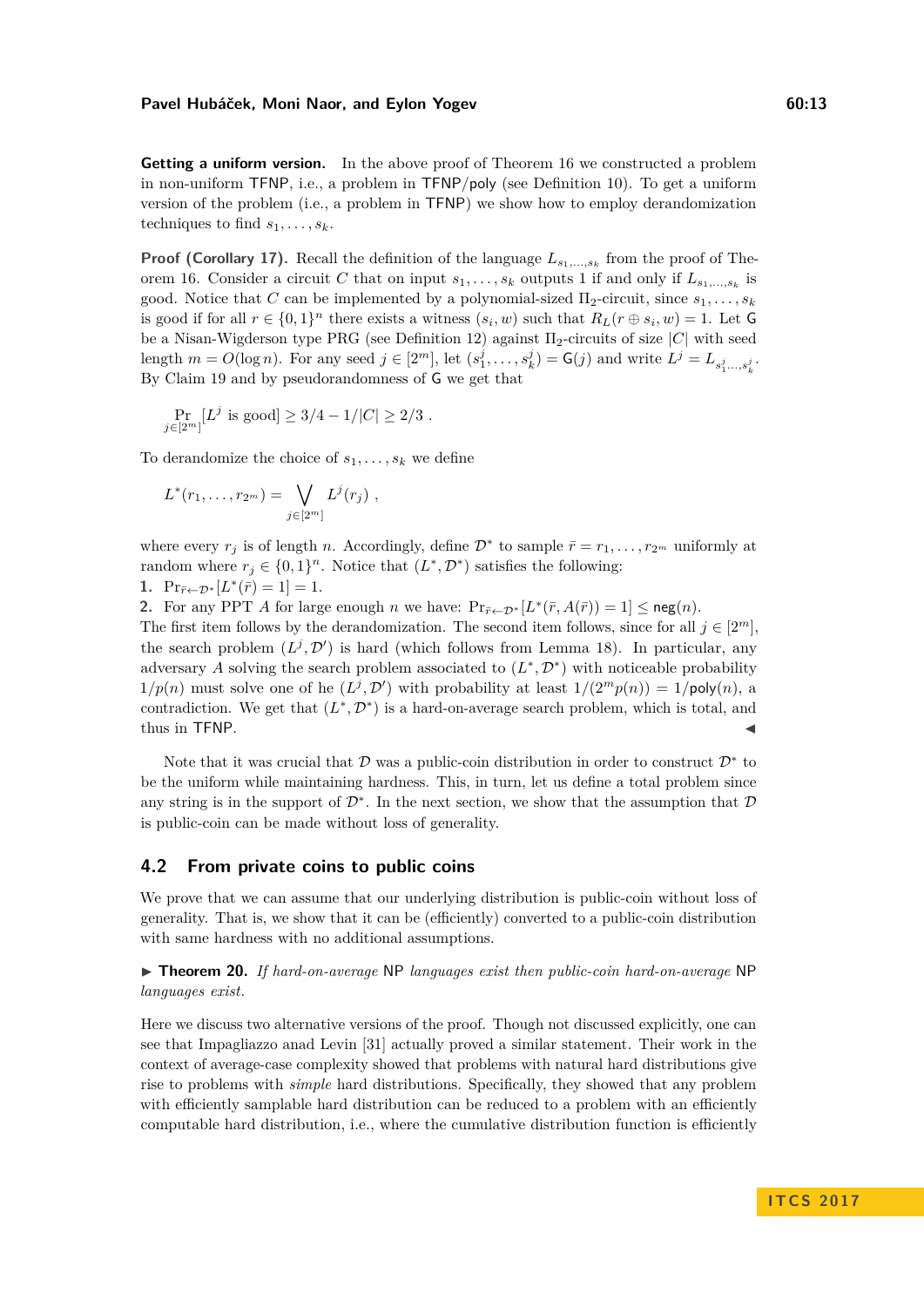**Getting a uniform version.** In the above proof of Theorem [16](#page-10-1) we constructed a problem in non-uniform TFNP, i.e., a problem in TFNP*/*poly (see Definition [10\)](#page-8-0). To get a uniform version of the problem (i.e., a problem in TFNP) we show how to employ derandomization techniques to find  $s_1, \ldots, s_k$ .

**Proof (Corollary [17\)](#page-10-2).** Recall the definition of the language  $L_{s_1,...,s_k}$  from the proof of The-orem [16.](#page-10-1) Consider a circuit *C* that on input  $s_1, \ldots, s_k$  outputs 1 if and only if  $L_{s_1,\ldots,s_k}$  is good. Notice that *C* can be implemented by a polynomial-sized  $\Pi_2$ -circuit, since  $s_1, \ldots, s_k$ is good if for all  $r \in \{0,1\}^n$  there exists a witness  $(s_i, w)$  such that  $R_L(r \oplus s_i, w) = 1$ . Let G be a Nisan-Wigderson type PRG (see Definition [12\)](#page-9-2) against Π2-circuits of size |*C*| with seed length  $m = O(\log n)$ . For any seed  $j \in [2^m]$ , let  $(s_1^j, \ldots, s_k^j) = G(j)$  and write  $L^j = L_{s_1^j, \ldots, s_k^j}$ . By Claim [19](#page-11-2) and by pseudorandomness of G we get that

$$
\Pr_{j \in [2^m]} [L^j \text{ is good}] \ge 3/4 - 1/|C| \ge 2/3.
$$

To derandomize the choice of  $s_1, \ldots, s_k$  we define

$$
L^*(r_1,\ldots,r_{2^m})=\bigvee_{j\in [2^m]}L^j(r_j)\;,
$$

where every  $r_j$  is of length *n*. Accordingly, define  $\mathcal{D}^*$  to sample  $\bar{r} = r_1, \ldots, r_{2^m}$  uniformly at random where  $r_j \in \{0,1\}^n$ . Notice that  $(L^*, \mathcal{D}^*)$  satisfies the following: 1.  $\Pr_{\bar{r} \leftarrow \mathcal{D}^*}[L^*(\bar{r}) = 1] = 1.$ 

**2.** For any PPT *A* for large enough *n* we have:  $Pr_{\bar{r} \leftarrow \mathcal{D}^*}[L^*(\bar{r}, A(\bar{r})) = 1] \leq \text{neg}(n)$ . The first item follows by the derandomization. The second item follows, since for all  $j \in [2^m]$ , the search problem  $(L^j, \mathcal{D}')$  is hard (which follows from Lemma [18\)](#page-11-0). In particular, any adversary A solving the search problem associated to  $(L^*, \mathcal{D}^*)$  with noticeable probability  $1/p(n)$  must solve one of he  $(L^j, \mathcal{D}')$  with probability at least  $1/(2^m p(n)) = 1/poly(n)$ , a contradiction. We get that  $(L^*, \mathcal{D}^*)$  is a hard-on-average search problem, which is total, and thus in TFNP.

Note that it was crucial that  $\mathcal D$  was a public-coin distribution in order to construct  $\mathcal D^*$  to be the uniform while maintaining hardness. This, in turn, let us define a total problem since any string is in the support of  $\mathcal{D}^*$ . In the next section, we show that the assumption that  $\mathcal D$ is public-coin can be made without loss of generality.

# <span id="page-12-0"></span>**4.2 From private coins to public coins**

We prove that we can assume that our underlying distribution is public-coin without loss of generality. That is, we show that it can be (efficiently) converted to a public-coin distribution with same hardness with no additional assumptions.

<span id="page-12-1"></span>I **Theorem 20.** *If hard-on-average* NP *languages exist then public-coin hard-on-average* NP *languages exist.*

Here we discuss two alternative versions of the proof. Though not discussed explicitly, one can see that Impagliazzo anad Levin [\[31\]](#page-17-13) actually proved a similar statement. Their work in the context of average-case complexity showed that problems with natural hard distributions give rise to problems with *simple* hard distributions. Specifically, they showed that any problem with efficiently samplable hard distribution can be reduced to a problem with an efficiently computable hard distribution, i.e., where the cumulative distribution function is efficiently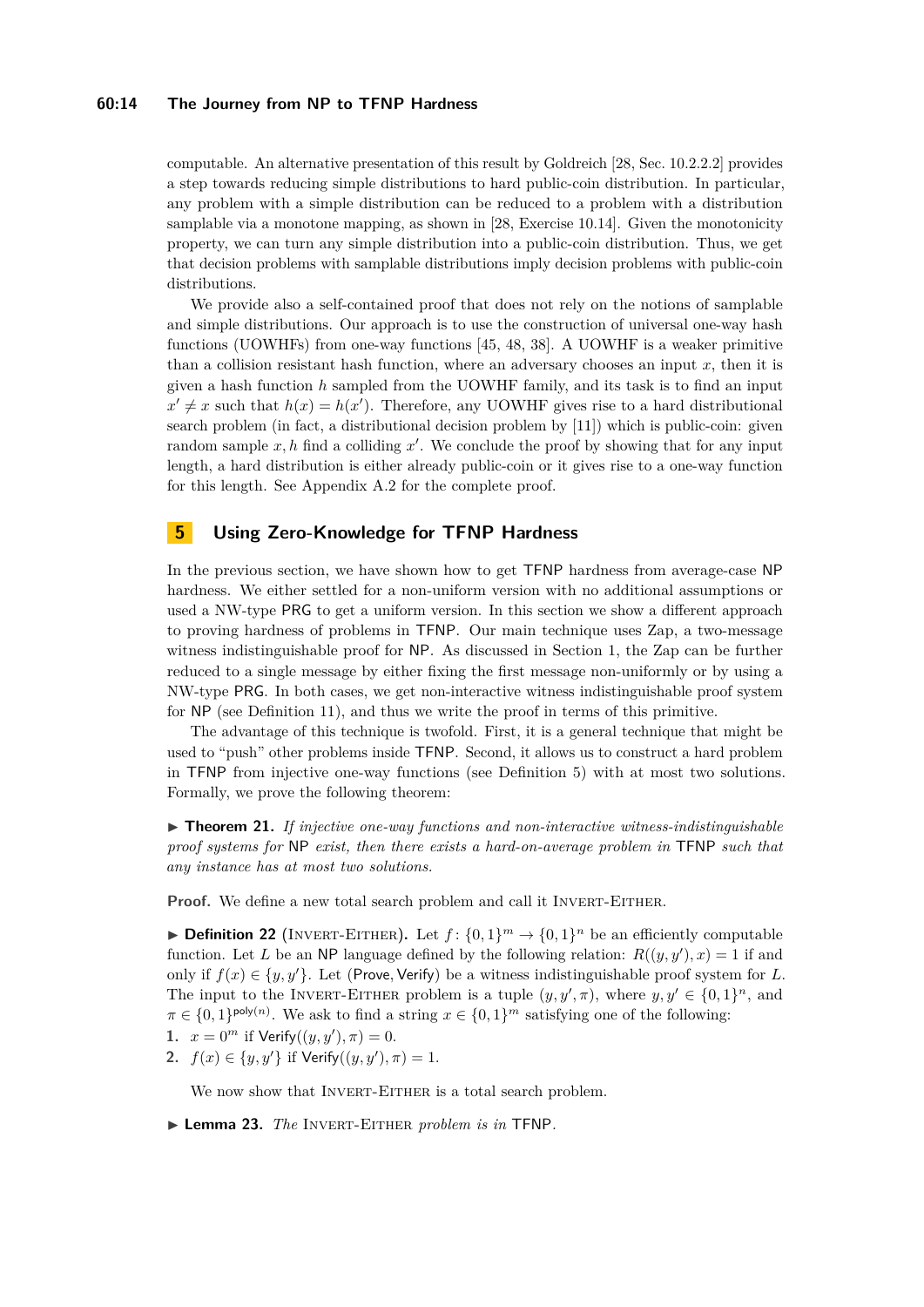## **60:14 The Journey from NP to TFNP Hardness**

computable. An alternative presentation of this result by Goldreich [\[28,](#page-17-14) Sec. 10.2.2.2] provides a step towards reducing simple distributions to hard public-coin distribution. In particular, any problem with a simple distribution can be reduced to a problem with a distribution samplable via a monotone mapping, as shown in [\[28,](#page-17-14) Exercise 10.14]. Given the monotonicity property, we can turn any simple distribution into a public-coin distribution. Thus, we get that decision problems with samplable distributions imply decision problems with public-coin distributions.

We provide also a self-contained proof that does not rely on the notions of samplable and simple distributions. Our approach is to use the construction of universal one-way hash functions (UOWHFs) from one-way functions [\[45,](#page-18-7) [48,](#page-18-8) [38\]](#page-17-15). A UOWHF is a weaker primitive than a collision resistant hash function, where an adversary chooses an input  $x$ , then it is given a hash function *h* sampled from the UOWHF family, and its task is to find an input  $x' \neq x$  such that  $h(x) = h(x')$ . Therefore, any UOWHF gives rise to a hard distributional search problem (in fact, a distributional decision problem by [\[11\]](#page-16-18)) which is public-coin: given random sample  $x, h$  find a colliding  $x'$ . We conclude the proof by showing that for any input length, a hard distribution is either already public-coin or it gives rise to a one-way function for this length. See Appendix [A.2](#page-19-0) for the complete proof.

# <span id="page-13-1"></span>**5 Using Zero-Knowledge for TFNP Hardness**

In the previous section, we have shown how to get TFNP hardness from average-case NP hardness. We either settled for a non-uniform version with no additional assumptions or used a NW-type PRG to get a uniform version. In this section we show a different approach to proving hardness of problems in TFNP. Our main technique uses Zap, a two-message witness indistinguishable proof for NP. As discussed in Section [1,](#page-0-0) the Zap can be further reduced to a single message by either fixing the first message non-uniformly or by using a NW-type PRG. In both cases, we get non-interactive witness indistinguishable proof system for NP (see Definition [11\)](#page-9-3), and thus we write the proof in terms of this primitive.

The advantage of this technique is twofold. First, it is a general technique that might be used to "push" other problems inside TFNP. Second, it allows us to construct a hard problem in TFNP from injective one-way functions (see Definition [5\)](#page-7-0) with at most two solutions. Formally, we prove the following theorem:

<span id="page-13-0"></span> $\triangleright$  **Theorem 21.** If injective one-way functions and non-interactive witness-indistinguishable *proof systems for* NP *exist, then there exists a hard-on-average problem in* TFNP *such that any instance has at most two solutions.*

**Proof.** We define a new total search problem and call it INVERT-EITHER.

**Definition 22** (INVERT-EITHER). Let  $f: \{0,1\}^m \to \{0,1\}^n$  be an efficiently computable function. Let *L* be an NP language defined by the following relation:  $R((y, y'), x) = 1$  if and only if  $f(x) \in \{y, y'\}$ . Let (Prove, Verify) be a witness indistinguishable proof system for L. The input to the INVERT-EITHER problem is a tuple  $(y, y', \pi)$ , where  $y, y' \in \{0, 1\}^n$ , and  $\pi \in \{0,1\}^{\text{poly}(n)}$ . We ask to find a string  $x \in \{0,1\}^m$  satisfying one of the following:

- **1.**  $x = 0^m$  if  $Verify((y, y'), \pi) = 0.$
- **2.**  $f(x) \in \{y, y'\}$  if Verify $((y, y'), \pi) = 1$ .

We now show that INVERT-EITHER is a total search problem.

I **Lemma 23.** *The* Invert-Either *problem is in* TFNP*.*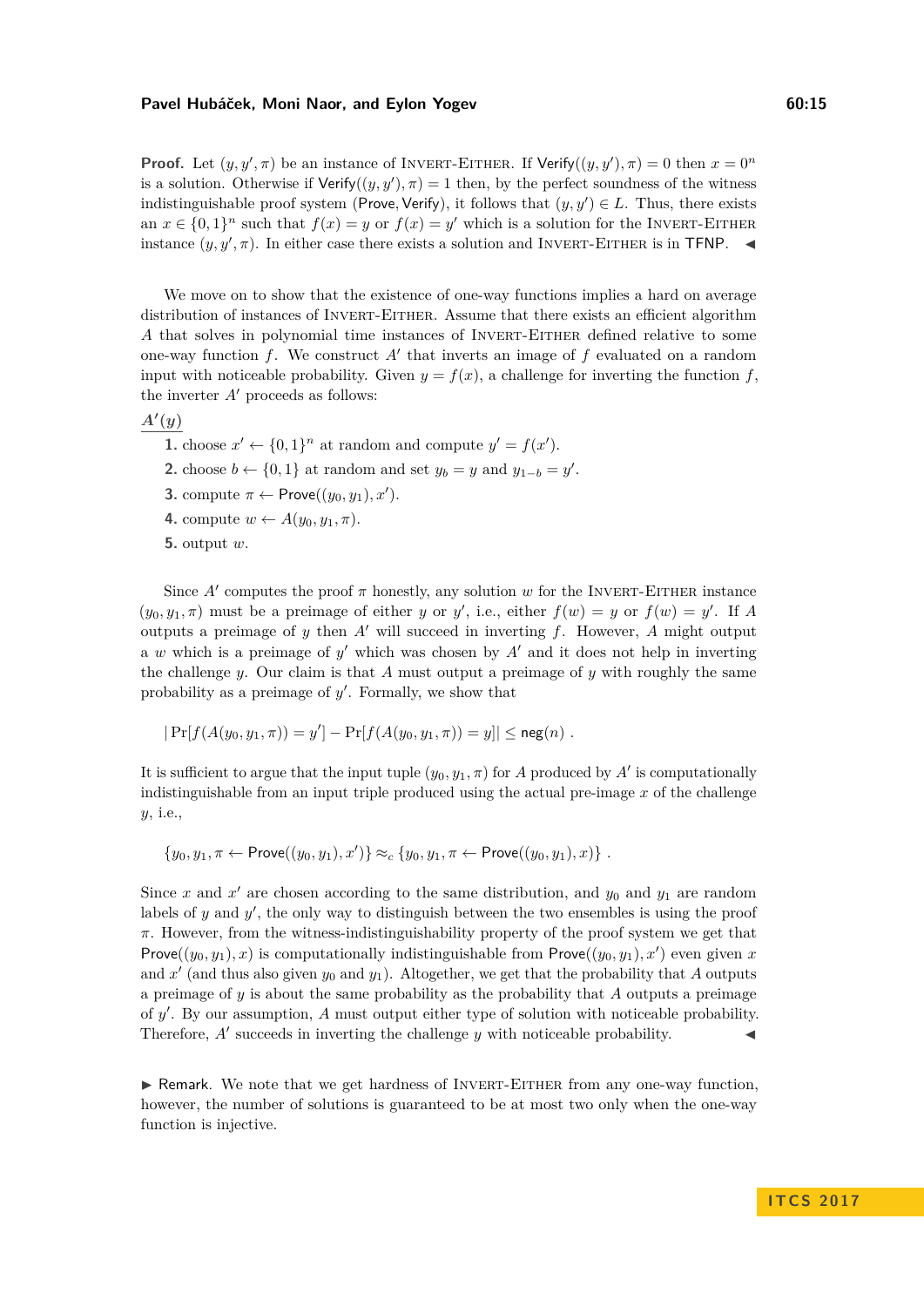**Proof.** Let  $(y, y', \pi)$  be an instance of INVERT-EITHER. If Verify $((y, y'), \pi) = 0$  then  $x = 0^n$ is a solution. Otherwise if  $Verify((y, y'), \pi) = 1$  then, by the perfect soundness of the witness indistinguishable proof system (Prove, Verify), it follows that  $(y, y') \in L$ . Thus, there exists an  $x \in \{0,1\}^n$  such that  $f(x) = y$  or  $f(x) = y'$  which is a solution for the INVERT-EITHER instance  $(y, y', \pi)$ . In either case there exists a solution and INVERT-EITHER is in TFNP.

We move on to show that the existence of one-way functions implies a hard on average distribution of instances of INVERT-EITHER. Assume that there exists an efficient algorithm A that solves in polynomial time instances of INVERT-EITHER defined relative to some one-way function  $f$ . We construct  $A'$  that inverts an image of  $f$  evaluated on a random input with noticeable probability. Given  $y = f(x)$ , a challenge for inverting the function  $f$ , the inverter  $A'$  proceeds as follows:

$$
A'(y)
$$

- **1.** choose  $x' \leftarrow \{0, 1\}^n$  at random and compute  $y' = f(x')$ .
- 2. choose  $b \leftarrow \{0, 1\}$  at random and set  $y_b = y$  and  $y_{1-b} = y'$ .
- **3.** compute  $\pi \leftarrow \text{Prove}((y_0, y_1), x')$ .
- **4.** compute  $w \leftarrow A(y_0, y_1, \pi)$ .
- **5.** output *w*.

Since  $A'$  computes the proof  $\pi$  honestly, any solution  $w$  for the INVERT-EITHER instance  $(y_0, y_1, \pi)$  must be a preimage of either *y* or *y'*, i.e., either  $f(w) = y$  or  $f(w) = y'$ . If *A* outputs a preimage of  $y$  then  $A'$  will succeed in inverting  $f$ . However,  $A$  might output a  $w$  which is a preimage of  $y'$  which was chosen by  $A'$  and it does not help in inverting the challenge *y*. Our claim is that *A* must output a preimage of *y* with roughly the same probability as a preimage of  $y'$ . Formally, we show that

$$
|\Pr[f(A(y_0, y_1, \pi)) = y'] - \Pr[f(A(y_0, y_1, \pi)) = y]| \leq \operatorname{neg}(n)
$$
.

It is sufficient to argue that the input tuple  $(y_0, y_1, \pi)$  for *A* produced by *A'* is computationally indistinguishable from an input triple produced using the actual pre-image *x* of the challenge *y*, i.e.,

$$
\{y_0, y_1, \pi \leftarrow \mathsf{Prove}((y_0, y_1), x')\} \approx_c \{y_0, y_1, \pi \leftarrow \mathsf{Prove}((y_0, y_1), x)\}.
$$

Since  $x$  and  $x'$  are chosen according to the same distribution, and  $y_0$  and  $y_1$  are random labels of  $y$  and  $y'$ , the only way to distinguish between the two ensembles is using the proof *π*. However, from the witness-indistinguishability property of the proof system we get that Prove $((y_0, y_1), x)$  is computationally indistinguishable from Prove $((y_0, y_1), x')$  even given *x* and  $x'$  (and thus also given  $y_0$  and  $y_1$ ). Altogether, we get that the probability that *A* outputs a preimage of *y* is about the same probability as the probability that *A* outputs a preimage of y'. By our assumption, A must output either type of solution with noticeable probability. Therefore,  $A'$  succeeds in inverting the challenge  $y$  with noticeable probability.

 $\triangleright$  Remark. We note that we get hardness of INVERT-EITHER from any one-way function, however, the number of solutions is guaranteed to be at most two only when the one-way function is injective.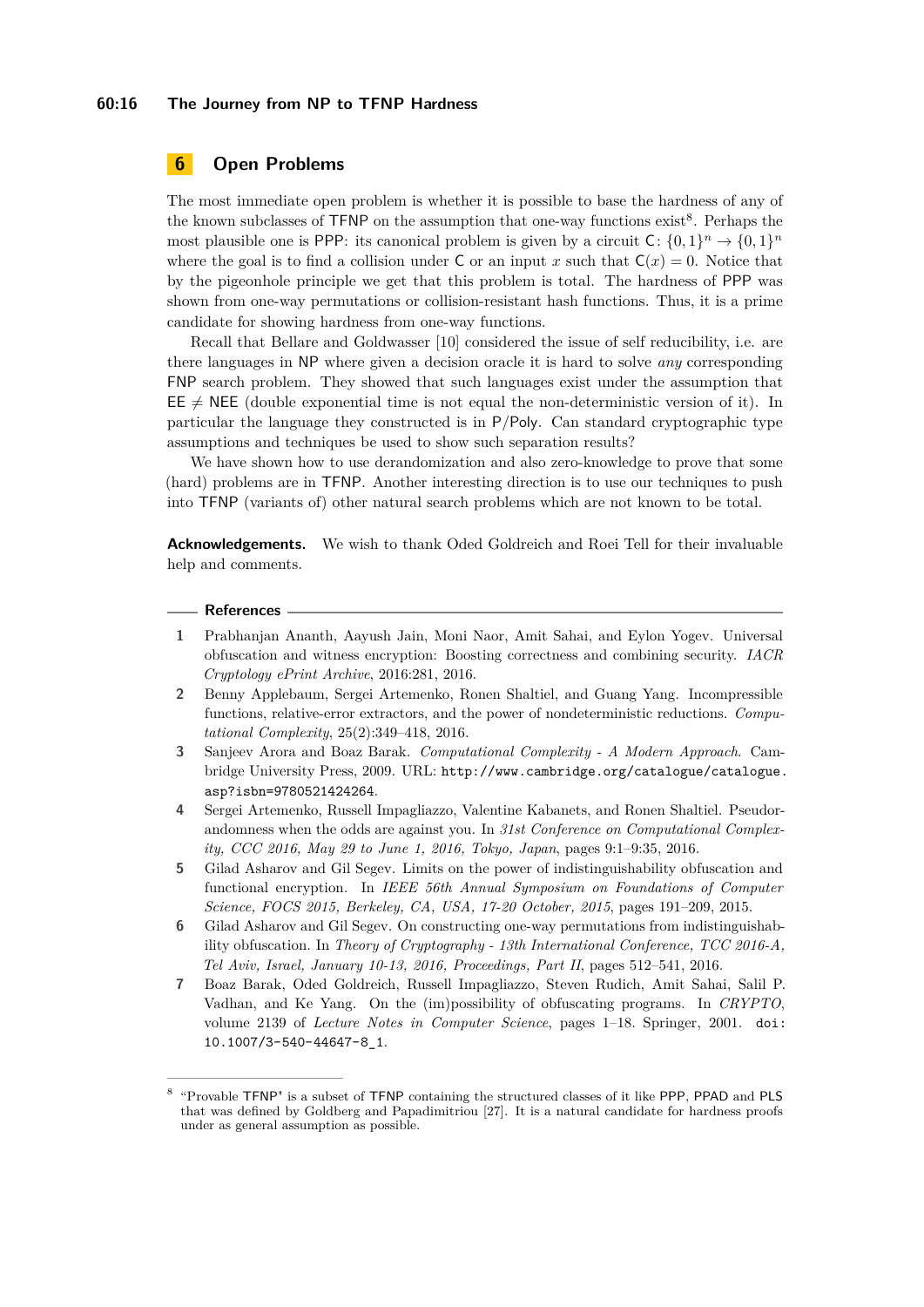## **60:16 The Journey from NP to TFNP Hardness**

# **6 Open Problems**

The most immediate open problem is whether it is possible to base the hardness of any of the known subclasses of  $TFNP$  on the assumption that one-way functions exist<sup>[8](#page-15-7)</sup>. Perhaps the most plausible one is PPP: its canonical problem is given by a circuit  $C: \{0,1\}^n \to \{0,1\}^n$ where the goal is to find a collision under C or an input x such that  $C(x) = 0$ . Notice that by the pigeonhole principle we get that this problem is total. The hardness of PPP was shown from one-way permutations or collision-resistant hash functions. Thus, it is a prime candidate for showing hardness from one-way functions.

Recall that Bellare and Goldwasser [\[10\]](#page-16-16) considered the issue of self reducibility, i.e. are there languages in NP where given a decision oracle it is hard to solve *any* corresponding FNP search problem. They showed that such languages exist under the assumption that  $EE \neq$  NEE (double exponential time is not equal the non-deterministic version of it). In particular the language they constructed is in P*/*Poly. Can standard cryptographic type assumptions and techniques be used to show such separation results?

We have shown how to use derandomization and also zero-knowledge to prove that some (hard) problems are in TFNP. Another interesting direction is to use our techniques to push into TFNP (variants of) other natural search problems which are not known to be total.

**Acknowledgements.** We wish to thank Oded Goldreich and Roei Tell for their invaluable help and comments.

#### **References**

- <span id="page-15-1"></span>**1** Prabhanjan Ananth, Aayush Jain, Moni Naor, Amit Sahai, and Eylon Yogev. Universal obfuscation and witness encryption: Boosting correctness and combining security. *IACR Cryptology ePrint Archive*, 2016:281, 2016.
- <span id="page-15-6"></span>**2** Benny Applebaum, Sergei Artemenko, Ronen Shaltiel, and Guang Yang. Incompressible functions, relative-error extractors, and the power of nondeterministic reductions. *Computational Complexity*, 25(2):349–418, 2016.
- <span id="page-15-5"></span>**3** Sanjeev Arora and Boaz Barak. *Computational Complexity - A Modern Approach*. Cambridge University Press, 2009. URL: [http://www.cambridge.org/catalogue/catalogue.](http://www.cambridge.org/catalogue/catalogue.asp?isbn=9780521424264) [asp?isbn=9780521424264](http://www.cambridge.org/catalogue/catalogue.asp?isbn=9780521424264).
- <span id="page-15-4"></span>**4** Sergei Artemenko, Russell Impagliazzo, Valentine Kabanets, and Ronen Shaltiel. Pseudorandomness when the odds are against you. In *31st Conference on Computational Complexity, CCC 2016, May 29 to June 1, 2016, Tokyo, Japan*, pages 9:1–9:35, 2016.
- <span id="page-15-2"></span>**5** Gilad Asharov and Gil Segev. Limits on the power of indistinguishability obfuscation and functional encryption. In *IEEE 56th Annual Symposium on Foundations of Computer Science, FOCS 2015, Berkeley, CA, USA, 17-20 October, 2015*, pages 191–209, 2015.
- <span id="page-15-3"></span>**6** Gilad Asharov and Gil Segev. On constructing one-way permutations from indistinguishability obfuscation. In *Theory of Cryptography - 13th International Conference, TCC 2016-A, Tel Aviv, Israel, January 10-13, 2016, Proceedings, Part II*, pages 512–541, 2016.
- <span id="page-15-0"></span>**7** Boaz Barak, Oded Goldreich, Russell Impagliazzo, Steven Rudich, Amit Sahai, Salil P. Vadhan, and Ke Yang. On the (im)possibility of obfuscating programs. In *CRYPTO*, volume 2139 of *Lecture Notes in Computer Science*, pages 1–18. Springer, 2001. [doi:](http://dx.doi.org/10.1007/3-540-44647-8_1) [10.1007/3-540-44647-8\\_1](http://dx.doi.org/10.1007/3-540-44647-8_1).

<span id="page-15-7"></span><sup>8</sup> "Provable TFNP" is a subset of TFNP containing the structured classes of it like PPP, PPAD and PLS that was defined by Goldberg and Papadimitriou [\[27\]](#page-17-16). It is a natural candidate for hardness proofs under as general assumption as possible.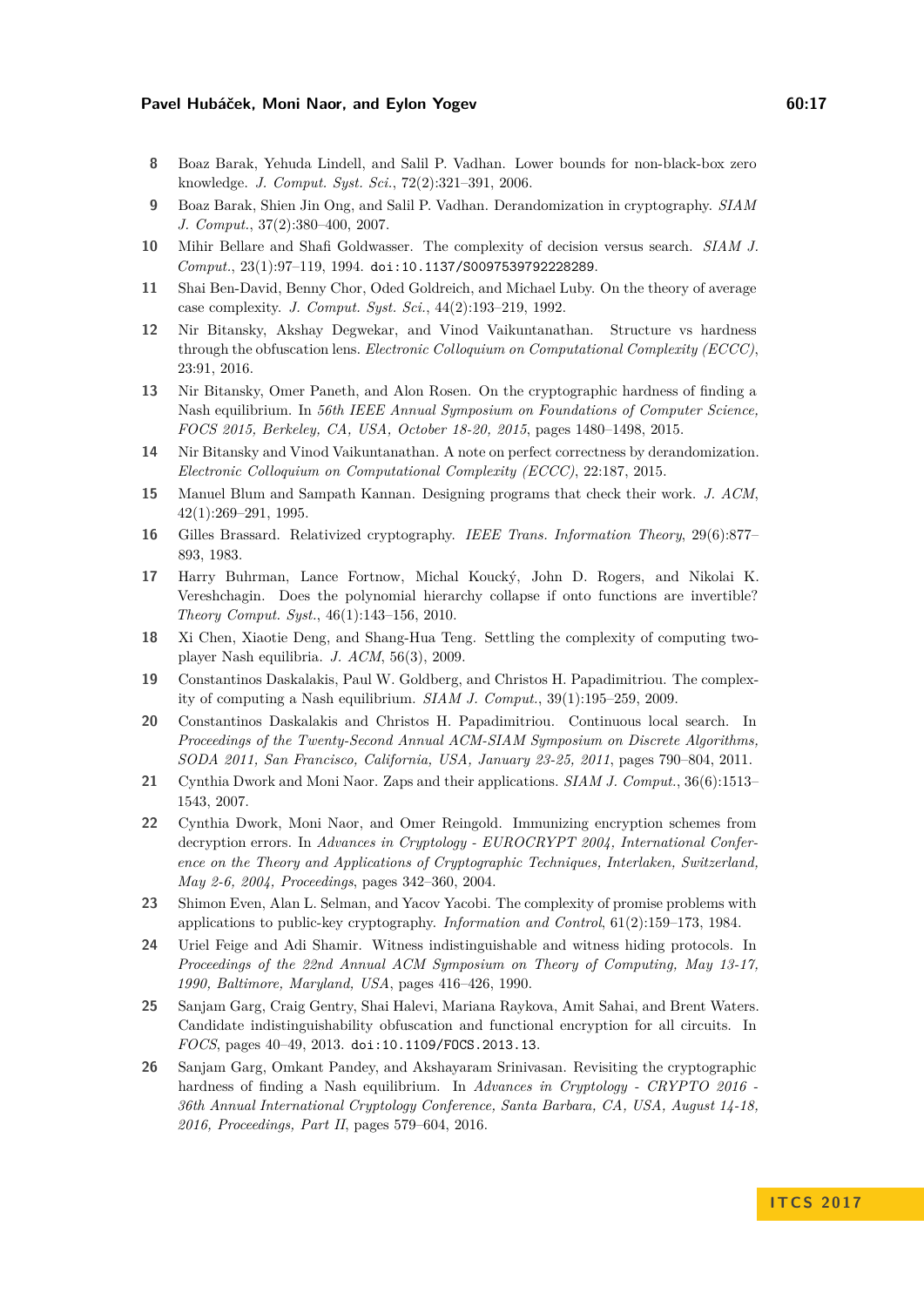- <span id="page-16-10"></span>**8** Boaz Barak, Yehuda Lindell, and Salil P. Vadhan. Lower bounds for non-black-box zero knowledge. *J. Comput. Syst. Sci.*, 72(2):321–391, 2006.
- <span id="page-16-11"></span>**9** Boaz Barak, Shien Jin Ong, and Salil P. Vadhan. Derandomization in cryptography. *SIAM J. Comput.*, 37(2):380–400, 2007.
- <span id="page-16-16"></span>**10** Mihir Bellare and Shafi Goldwasser. The complexity of decision versus search. *SIAM J. Comput.*, 23(1):97–119, 1994. [doi:10.1137/S0097539792228289](http://dx.doi.org/10.1137/S0097539792228289).
- <span id="page-16-18"></span>**11** Shai Ben-David, Benny Chor, Oded Goldreich, and Michael Luby. On the theory of average case complexity. *J. Comput. Syst. Sci.*, 44(2):193–219, 1992.
- <span id="page-16-9"></span>**12** Nir Bitansky, Akshay Degwekar, and Vinod Vaikuntanathan. Structure vs hardness through the obfuscation lens. *Electronic Colloquium on Computational Complexity (ECCC)*, 23:91, 2016.
- <span id="page-16-3"></span>**13** Nir Bitansky, Omer Paneth, and Alon Rosen. On the cryptographic hardness of finding a Nash equilibrium. In *56th IEEE Annual Symposium on Foundations of Computer Science, FOCS 2015, Berkeley, CA, USA, October 18-20, 2015*, pages 1480–1498, 2015.
- <span id="page-16-12"></span>**14** Nir Bitansky and Vinod Vaikuntanathan. A note on perfect correctness by derandomization. *Electronic Colloquium on Computational Complexity (ECCC)*, 22:187, 2015.
- <span id="page-16-7"></span>**15** Manuel Blum and Sampath Kannan. Designing programs that check their work. *J. ACM*, 42(1):269–291, 1995.
- <span id="page-16-6"></span>**16** Gilles Brassard. Relativized cryptography. *IEEE Trans. Information Theory*, 29(6):877– 893, 1983.
- <span id="page-16-8"></span>**17** Harry Buhrman, Lance Fortnow, Michal Koucký, John D. Rogers, and Nikolai K. Vereshchagin. Does the polynomial hierarchy collapse if onto functions are invertible? *Theory Comput. Syst.*, 46(1):143–156, 2010.
- <span id="page-16-1"></span>**18** Xi Chen, Xiaotie Deng, and Shang-Hua Teng. Settling the complexity of computing twoplayer Nash equilibria. *J. ACM*, 56(3), 2009.
- <span id="page-16-0"></span>**19** Constantinos Daskalakis, Paul W. Goldberg, and Christos H. Papadimitriou. The complexity of computing a Nash equilibrium. *SIAM J. Comput.*, 39(1):195–259, 2009.
- <span id="page-16-2"></span>**20** Constantinos Daskalakis and Christos H. Papadimitriou. Continuous local search. In *Proceedings of the Twenty-Second Annual ACM-SIAM Symposium on Discrete Algorithms, SODA 2011, San Francisco, California, USA, January 23-25, 2011*, pages 790–804, 2011.
- <span id="page-16-14"></span>**21** Cynthia Dwork and Moni Naor. Zaps and their applications. *SIAM J. Comput.*, 36(6):1513– 1543, 2007.
- <span id="page-16-17"></span>**22** Cynthia Dwork, Moni Naor, and Omer Reingold. Immunizing encryption schemes from decryption errors. In *Advances in Cryptology - EUROCRYPT 2004, International Conference on the Theory and Applications of Cryptographic Techniques, Interlaken, Switzerland, May 2-6, 2004, Proceedings*, pages 342–360, 2004.
- <span id="page-16-15"></span>**23** Shimon Even, Alan L. Selman, and Yacov Yacobi. The complexity of promise problems with applications to public-key cryptography. *Information and Control*, 61(2):159–173, 1984.
- <span id="page-16-13"></span>**24** Uriel Feige and Adi Shamir. Witness indistinguishable and witness hiding protocols. In *Proceedings of the 22nd Annual ACM Symposium on Theory of Computing, May 13-17, 1990, Baltimore, Maryland, USA*, pages 416–426, 1990.
- <span id="page-16-5"></span>**25** Sanjam Garg, Craig Gentry, Shai Halevi, Mariana Raykova, Amit Sahai, and Brent Waters. Candidate indistinguishability obfuscation and functional encryption for all circuits. In *FOCS*, pages 40–49, 2013. [doi:10.1109/FOCS.2013.13](http://dx.doi.org/10.1109/FOCS.2013.13).
- <span id="page-16-4"></span>**26** Sanjam Garg, Omkant Pandey, and Akshayaram Srinivasan. Revisiting the cryptographic hardness of finding a Nash equilibrium. In *Advances in Cryptology - CRYPTO 2016 - 36th Annual International Cryptology Conference, Santa Barbara, CA, USA, August 14-18, 2016, Proceedings, Part II*, pages 579–604, 2016.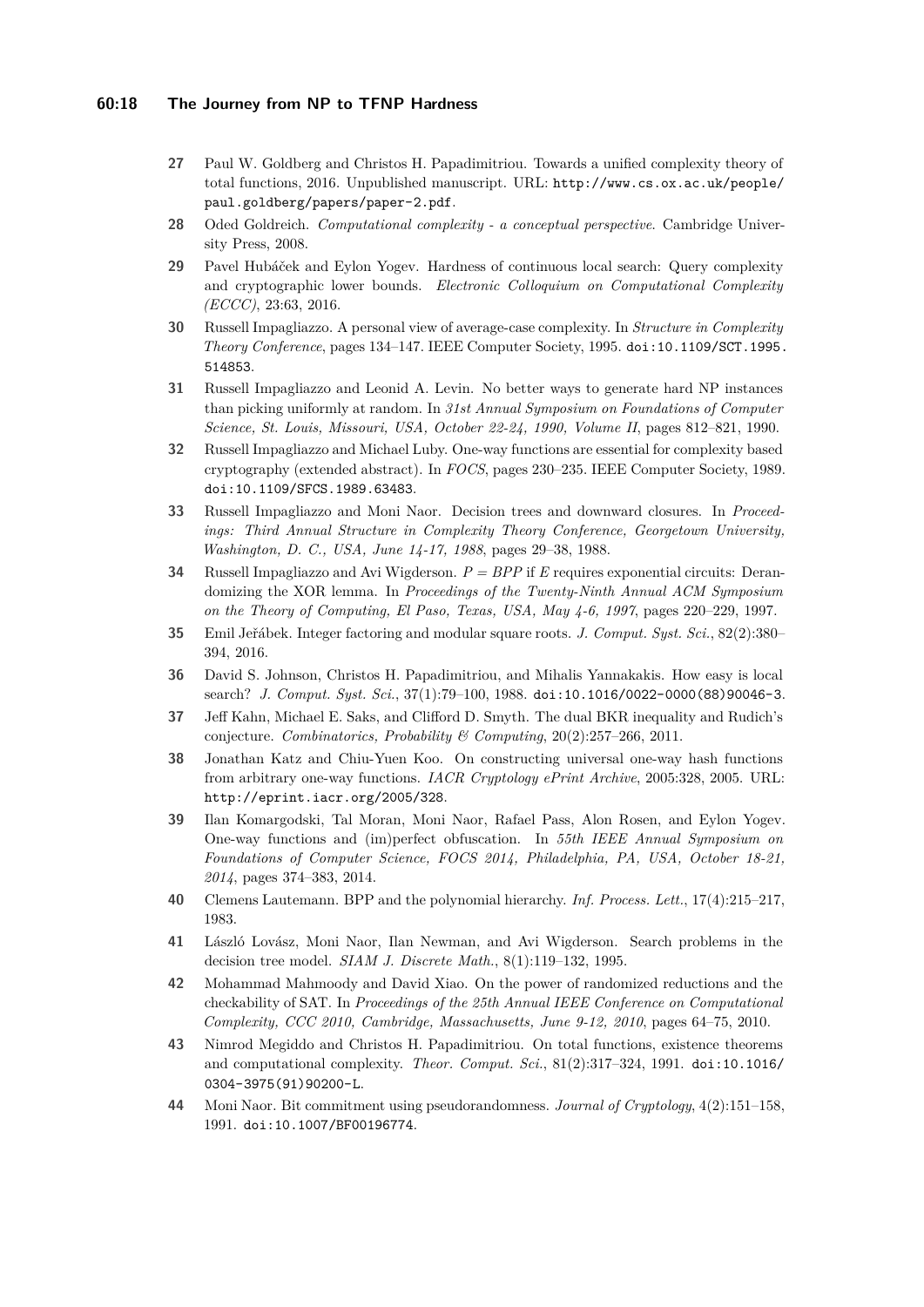## **60:18 The Journey from NP to TFNP Hardness**

- <span id="page-17-16"></span>**27** Paul W. Goldberg and Christos H. Papadimitriou. Towards a unified complexity theory of total functions, 2016. Unpublished manuscript. URL: [http://www.cs.ox.ac.uk/people/](http://www.cs.ox.ac.uk/people/paul.goldberg/papers/paper-2.pdf) [paul.goldberg/papers/paper-2.pdf](http://www.cs.ox.ac.uk/people/paul.goldberg/papers/paper-2.pdf).
- <span id="page-17-14"></span>**28** Oded Goldreich. *Computational complexity - a conceptual perspective*. Cambridge University Press, 2008.
- <span id="page-17-3"></span>**29** Pavel Hubáček and Eylon Yogev. Hardness of continuous local search: Query complexity and cryptographic lower bounds. *Electronic Colloquium on Computational Complexity (ECCC)*, 23:63, 2016.
- <span id="page-17-4"></span>**30** Russell Impagliazzo. A personal view of average-case complexity. In *Structure in Complexity Theory Conference*, pages 134–147. IEEE Computer Society, 1995. [doi:10.1109/SCT.1995.](http://dx.doi.org/10.1109/SCT.1995.514853) [514853](http://dx.doi.org/10.1109/SCT.1995.514853).
- <span id="page-17-13"></span>**31** Russell Impagliazzo and Leonid A. Levin. No better ways to generate hard NP instances than picking uniformly at random. In *31st Annual Symposium on Foundations of Computer Science, St. Louis, Missouri, USA, October 22-24, 1990, Volume II*, pages 812–821, 1990.
- <span id="page-17-17"></span>**32** Russell Impagliazzo and Michael Luby. One-way functions are essential for complexity based cryptography (extended abstract). In *FOCS*, pages 230–235. IEEE Computer Society, 1989. [doi:10.1109/SFCS.1989.63483](http://dx.doi.org/10.1109/SFCS.1989.63483).
- <span id="page-17-9"></span>**33** Russell Impagliazzo and Moni Naor. Decision trees and downward closures. In *Proceedings: Third Annual Structure in Complexity Theory Conference, Georgetown University, Washington, D. C., USA, June 14-17, 1988*, pages 29–38, 1988.
- <span id="page-17-8"></span>**34** Russell Impagliazzo and Avi Wigderson. *P = BPP* if *E* requires exponential circuits: Derandomizing the XOR lemma. In *Proceedings of the Twenty-Ninth Annual ACM Symposium on the Theory of Computing, El Paso, Texas, USA, May 4-6, 1997*, pages 220–229, 1997.
- <span id="page-17-2"></span>**35** Emil Jeřábek. Integer factoring and modular square roots. *J. Comput. Syst. Sci.*, 82(2):380– 394, 2016.
- <span id="page-17-1"></span>**36** David S. Johnson, Christos H. Papadimitriou, and Mihalis Yannakakis. How easy is local search? *J. Comput. Syst. Sci.*, 37(1):79–100, 1988. [doi:10.1016/0022-0000\(88\)90046-3](http://dx.doi.org/10.1016/0022-0000(88)90046-3).
- <span id="page-17-5"></span>**37** Jeff Kahn, Michael E. Saks, and Clifford D. Smyth. The dual BKR inequality and Rudich's conjecture. *Combinatorics, Probability & Computing*, 20(2):257–266, 2011.
- <span id="page-17-15"></span>**38** Jonathan Katz and Chiu-Yuen Koo. On constructing universal one-way hash functions from arbitrary one-way functions. *IACR Cryptology ePrint Archive*, 2005:328, 2005. URL: <http://eprint.iacr.org/2005/328>.
- <span id="page-17-6"></span>**39** Ilan Komargodski, Tal Moran, Moni Naor, Rafael Pass, Alon Rosen, and Eylon Yogev. One-way functions and (im)perfect obfuscation. In *55th IEEE Annual Symposium on Foundations of Computer Science, FOCS 2014, Philadelphia, PA, USA, October 18-21, 2014*, pages 374–383, 2014.
- <span id="page-17-11"></span>**40** Clemens Lautemann. BPP and the polynomial hierarchy. *Inf. Process. Lett.*, 17(4):215–217, 1983.
- <span id="page-17-10"></span>**41** László Lovász, Moni Naor, Ilan Newman, and Avi Wigderson. Search problems in the decision tree model. *SIAM J. Discrete Math.*, 8(1):119–132, 1995.
- <span id="page-17-7"></span>**42** Mohammad Mahmoody and David Xiao. On the power of randomized reductions and the checkability of SAT. In *Proceedings of the 25th Annual IEEE Conference on Computational Complexity, CCC 2010, Cambridge, Massachusetts, June 9-12, 2010*, pages 64–75, 2010.
- <span id="page-17-0"></span>**43** Nimrod Megiddo and Christos H. Papadimitriou. On total functions, existence theorems and computational complexity. *Theor. Comput. Sci.*, 81(2):317–324, 1991. [doi:10.1016/](http://dx.doi.org/10.1016/0304-3975(91)90200-L) [0304-3975\(91\)90200-L](http://dx.doi.org/10.1016/0304-3975(91)90200-L).
- <span id="page-17-12"></span>**44** Moni Naor. Bit commitment using pseudorandomness. *Journal of Cryptology*, 4(2):151–158, 1991. [doi:10.1007/BF00196774](http://dx.doi.org/10.1007/BF00196774).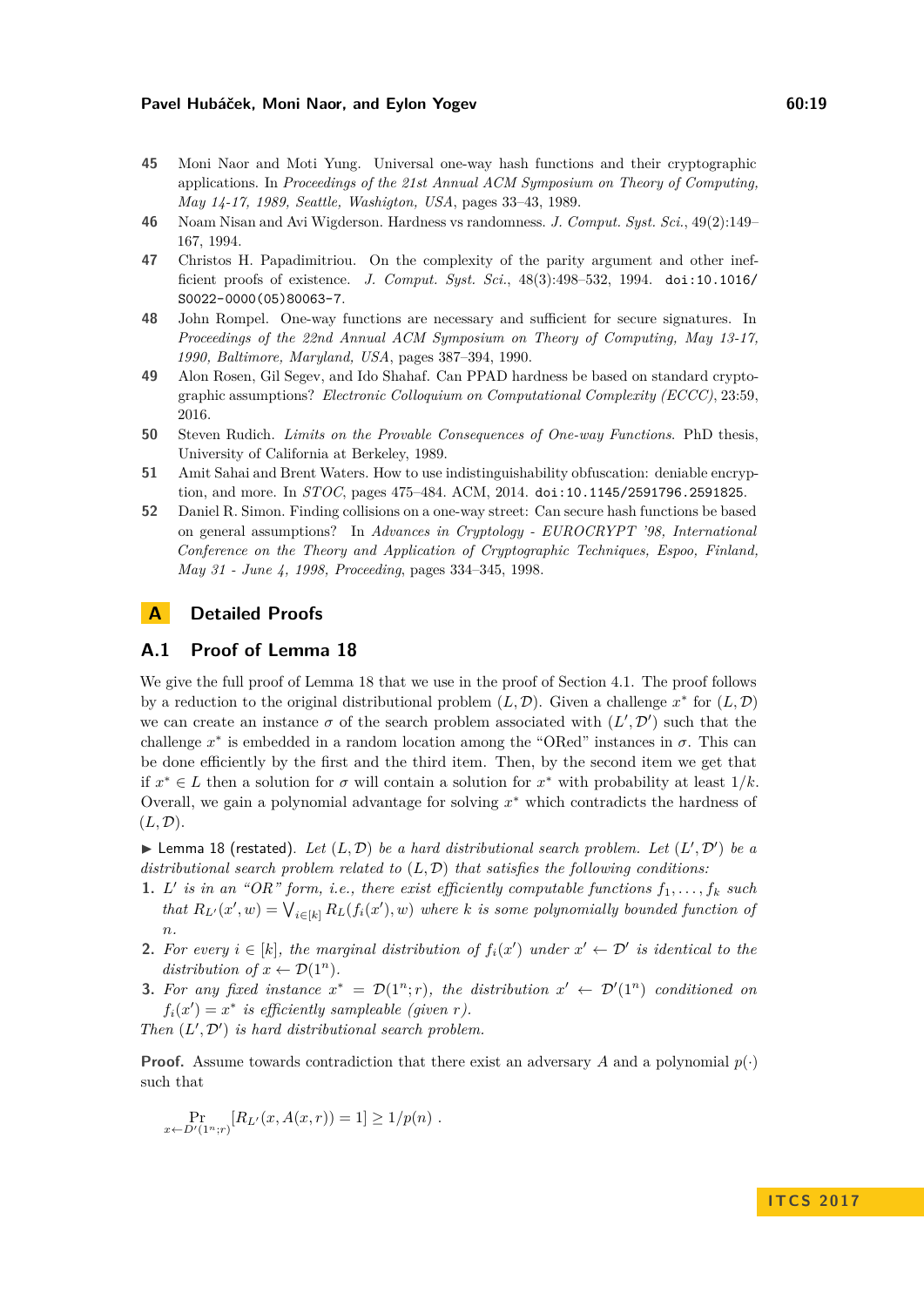- <span id="page-18-7"></span>**45** Moni Naor and Moti Yung. Universal one-way hash functions and their cryptographic applications. In *Proceedings of the 21st Annual ACM Symposium on Theory of Computing, May 14-17, 1989, Seattle, Washigton, USA*, pages 33–43, 1989.
- <span id="page-18-5"></span>**46** Noam Nisan and Avi Wigderson. Hardness vs randomness. *J. Comput. Syst. Sci.*, 49(2):149– 167, 1994.
- <span id="page-18-0"></span>**47** Christos H. Papadimitriou. On the complexity of the parity argument and other inefficient proofs of existence. *J. Comput. Syst. Sci.*, 48(3):498–532, 1994. [doi:10.1016/](http://dx.doi.org/10.1016/S0022-0000(05)80063-7) [S0022-0000\(05\)80063-7](http://dx.doi.org/10.1016/S0022-0000(05)80063-7).
- <span id="page-18-8"></span>**48** John Rompel. One-way functions are necessary and sufficient for secure signatures. In *Proceedings of the 22nd Annual ACM Symposium on Theory of Computing, May 13-17, 1990, Baltimore, Maryland, USA*, pages 387–394, 1990.
- <span id="page-18-4"></span>**49** Alon Rosen, Gil Segev, and Ido Shahaf. Can PPAD hardness be based on standard cryptographic assumptions? *Electronic Colloquium on Computational Complexity (ECCC)*, 23:59, 2016.
- <span id="page-18-2"></span>**50** Steven Rudich. *Limits on the Provable Consequences of One-way Functions*. PhD thesis, University of California at Berkeley, 1989.
- <span id="page-18-1"></span>**51** Amit Sahai and Brent Waters. How to use indistinguishability obfuscation: deniable encryption, and more. In *STOC*, pages 475–484. ACM, 2014. [doi:10.1145/2591796.2591825](http://dx.doi.org/10.1145/2591796.2591825).
- <span id="page-18-3"></span>**52** Daniel R. Simon. Finding collisions on a one-way street: Can secure hash functions be based on general assumptions? In *Advances in Cryptology - EUROCRYPT '98, International Conference on the Theory and Application of Cryptographic Techniques, Espoo, Finland, May 31 - June 4, 1998, Proceeding*, pages 334–345, 1998.

# **A Detailed Proofs**

# <span id="page-18-6"></span>**A.1 Proof of Lemma [18](#page-11-0)**

We give the full proof of Lemma [18](#page-11-0) that we use in the proof of Section [4.1.](#page-10-0) The proof follows by a reduction to the original distributional problem  $(L, \mathcal{D})$ . Given a challenge  $x^*$  for  $(L, \mathcal{D})$ we can create an instance  $\sigma$  of the search problem associated with  $(L', \mathcal{D}')$  such that the challenge  $x^*$  is embedded in a random location among the "ORed" instances in  $\sigma$ . This can be done efficiently by the first and the third item. Then, by the second item we get that if  $x^* \in L$  then a solution for  $\sigma$  will contain a solution for  $x^*$  with probability at least  $1/k$ . Overall, we gain a polynomial advantage for solving *x* <sup>∗</sup> which contradicts the hardness of  $(L,\mathcal{D}).$ 

 $\blacktriangleright$  Lemma [18](#page-11-0) (restated). Let  $(L, \mathcal{D})$  be a hard distributional search problem. Let  $(L', \mathcal{D}')$  be a *distributional search problem related to* (*L,* D) *that satisfies the following conditions:*

- <span id="page-18-11"></span>**1.** *L'* is in an "OR" form, i.e., there exist efficiently computable functions  $f_1, \ldots, f_k$  such *that*  $R_{L'}(x', w) = \bigvee_{i \in [k]} R_L(f_i(x'), w)$  *where k is some polynomially bounded function of n.*
- <span id="page-18-10"></span>**2.** For every  $i \in [k]$ , the marginal distribution of  $f_i(x')$  under  $x' \leftarrow \mathcal{D}'$  is identical to the *distribution of*  $x \leftarrow \mathcal{D}(1^n)$ .
- <span id="page-18-9"></span>**3.** For any fixed instance  $x^* = \mathcal{D}(1^n; r)$ , the distribution  $x' \leftarrow \mathcal{D}'(1^n)$  conditioned on  $f_i(x') = x^*$  *is efficiently sampleable (given r).*
- *Then*  $(L', \mathcal{D}')$  *is hard distributional search problem.*

**Proof.** Assume towards contradiction that there exist an adversary *A* and a polynomial  $p(\cdot)$ such that

$$
\Pr_{x \leftarrow D'(1^n; r)}[R_{L'}(x, A(x, r)) = 1] \ge 1/p(n) .
$$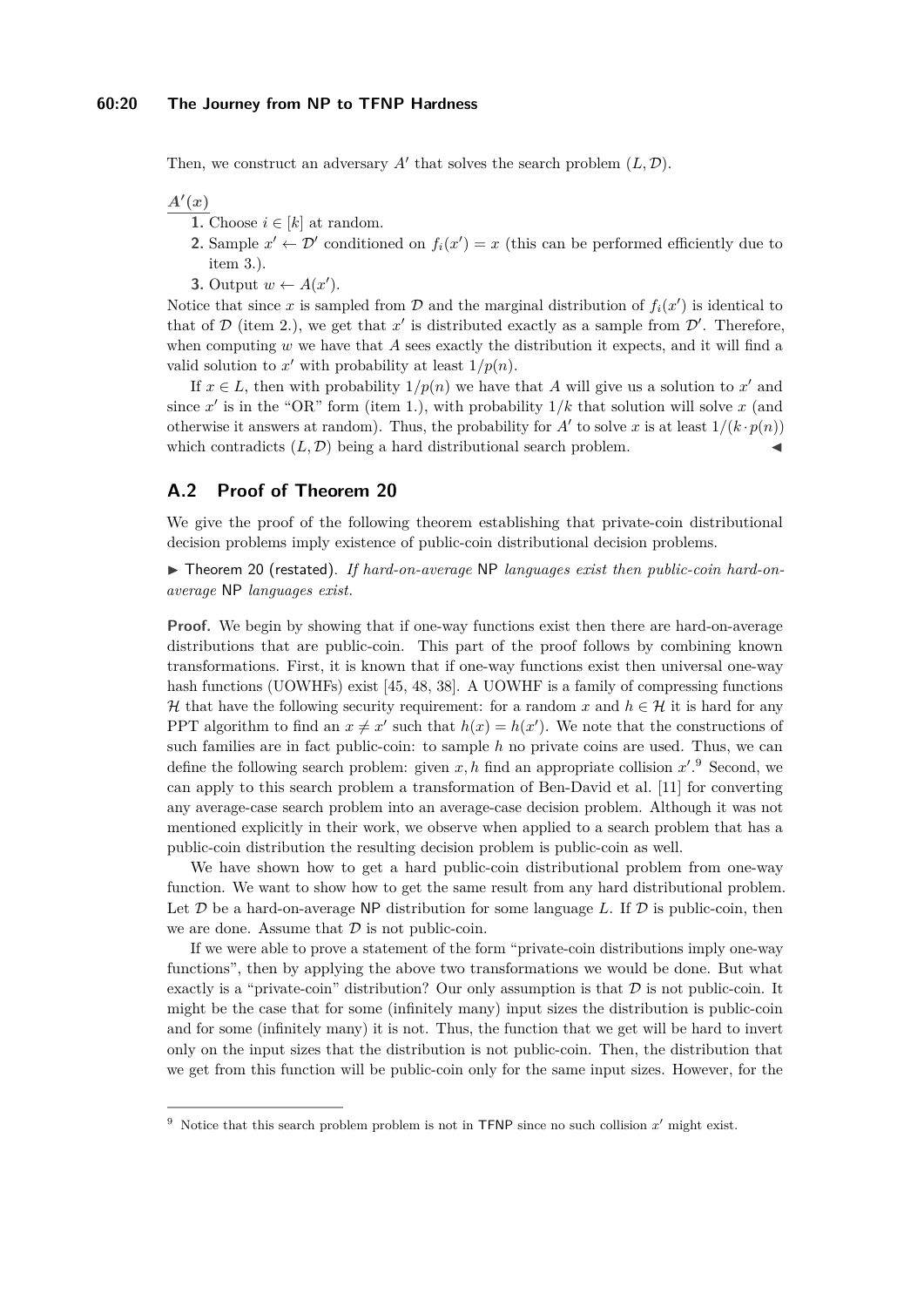Then, we construct an adversary  $A'$  that solves the search problem  $(L, \mathcal{D})$ .

 $A'(x)$ 

- **1.** Choose  $i \in [k]$  at random.
- **2.** Sample  $x' \leftarrow \mathcal{D}'$  conditioned on  $f_i(x') = x$  (this can be performed efficiently due to item [3.](#page-18-9)).
- **3.** Output  $w \leftarrow A(x')$ .

Notice that since x is sampled from  $D$  and the marginal distribution of  $f_i(x')$  is identical to that of  $D$  (item [2.](#page-18-10)), we get that  $x'$  is distributed exactly as a sample from  $D'$ . Therefore, when computing *w* we have that *A* sees exactly the distribution it expects, and it will find a valid solution to x' with probability at least  $1/p(n)$ .

If  $x \in L$ , then with probability  $1/p(n)$  we have that A will give us a solution to x' and since  $x'$  is in the "OR" form (item [1.](#page-18-11)), with probability  $1/k$  that solution will solve  $x$  (and otherwise it answers at random). Thus, the probability for  $A'$  to solve x is at least  $1/(k \cdot p(n))$ which contradicts  $(L, \mathcal{D})$  being a hard distributional search problem.

# <span id="page-19-0"></span>**A.2 Proof of Theorem [20](#page-12-1)**

We give the proof of the following theorem establishing that private-coin distributional decision problems imply existence of public-coin distributional decision problems.

▶ Theorem [20](#page-12-1) (restated). *If hard-on-average* NP *languages exist then public-coin hard-onaverage* NP *languages exist.*

**Proof.** We begin by showing that if one-way functions exist then there are hard-on-average distributions that are public-coin. This part of the proof follows by combining known transformations. First, it is known that if one-way functions exist then universal one-way hash functions (UOWHFs) exist [\[45,](#page-18-7) [48,](#page-18-8) [38\]](#page-17-15). A UOWHF is a family of compressing functions H that have the following security requirement: for a random x and  $h \in \mathcal{H}$  it is hard for any PPT algorithm to find an  $x \neq x'$  such that  $h(x) = h(x')$ . We note that the constructions of such families are in fact public-coin: to sample *h* no private coins are used. Thus, we can define the following search problem: given  $x, h$  find an appropriate collision  $x'.^9$  $x'.^9$  Second, we can apply to this search problem a transformation of Ben-David et al. [\[11\]](#page-16-18) for converting any average-case search problem into an average-case decision problem. Although it was not mentioned explicitly in their work, we observe when applied to a search problem that has a public-coin distribution the resulting decision problem is public-coin as well.

We have shown how to get a hard public-coin distributional problem from one-way function. We want to show how to get the same result from any hard distributional problem. Let  $D$  be a hard-on-average NP distribution for some language  $L$ . If  $D$  is public-coin, then we are done. Assume that  $D$  is not public-coin.

If we were able to prove a statement of the form "private-coin distributions imply one-way functions", then by applying the above two transformations we would be done. But what exactly is a "private-coin" distribution? Our only assumption is that  $D$  is not public-coin. It might be the case that for some (infinitely many) input sizes the distribution is public-coin and for some (infinitely many) it is not. Thus, the function that we get will be hard to invert only on the input sizes that the distribution is not public-coin. Then, the distribution that we get from this function will be public-coin only for the same input sizes. However, for the

<span id="page-19-1"></span><sup>&</sup>lt;sup>9</sup> Notice that this search problem problem is not in TFNP since no such collision  $x'$  might exist.